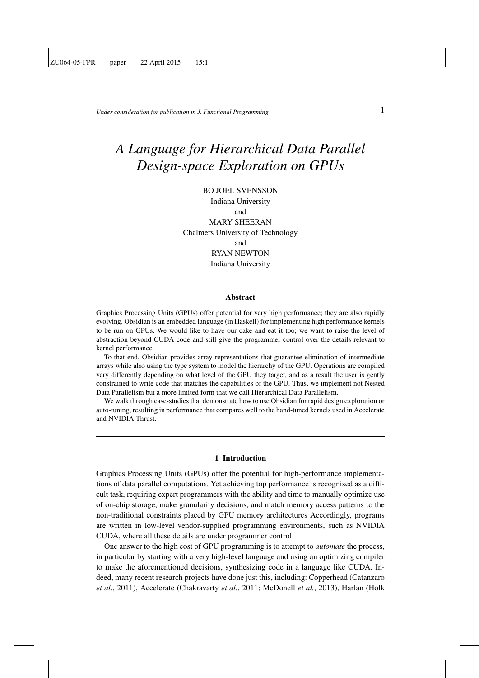*Under consideration for publication in J. Functional Programming*  $1$ 

# *A Language for Hierarchical Data Parallel Design-space Exploration on GPUs*

BO JOEL SVENSSON

Indiana University and MARY SHEERAN Chalmers University of Technology and RYAN NEWTON Indiana University

#### Abstract

Graphics Processing Units (GPUs) offer potential for very high performance; they are also rapidly evolving. Obsidian is an embedded language (in Haskell) for implementing high performance kernels to be run on GPUs. We would like to have our cake and eat it too; we want to raise the level of abstraction beyond CUDA code and still give the programmer control over the details relevant to kernel performance.

To that end, Obsidian provides array representations that guarantee elimination of intermediate arrays while also using the type system to model the hierarchy of the GPU. Operations are compiled very differently depending on what level of the GPU they target, and as a result the user is gently constrained to write code that matches the capabilities of the GPU. Thus, we implement not Nested Data Parallelism but a more limited form that we call Hierarchical Data Parallelism.

We walk through case-studies that demonstrate how to use Obsidian for rapid design exploration or auto-tuning, resulting in performance that compares well to the hand-tuned kernels used in Accelerate and NVIDIA Thrust.

#### 1 Introduction

Graphics Processing Units (GPUs) offer the potential for high-performance implementations of data parallel computations. Yet achieving top performance is recognised as a difficult task, requiring expert programmers with the ability and time to manually optimize use of on-chip storage, make granularity decisions, and match memory access patterns to the non-traditional constraints placed by GPU memory architectures Accordingly, programs are written in low-level vendor-supplied programming environments, such as NVIDIA CUDA, where all these details are under programmer control.

One answer to the high cost of GPU programming is to attempt to *automate* the process, in particular by starting with a very high-level language and using an optimizing compiler to make the aforementioned decisions, synthesizing code in a language like CUDA. Indeed, many recent research projects have done just this, including: Copperhead (Catanzaro *et al.*, 2011), Accelerate (Chakravarty *et al.*, 2011; McDonell *et al.*, 2013), Harlan (Holk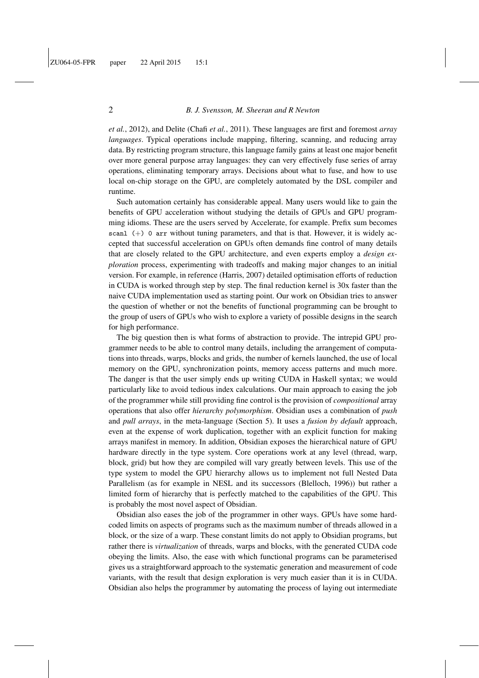*et al.*, 2012), and Delite (Chafi *et al.*, 2011). These languages are first and foremost *array languages*. Typical operations include mapping, filtering, scanning, and reducing array data. By restricting program structure, this language family gains at least one major benefit over more general purpose array languages: they can very effectively fuse series of array operations, eliminating temporary arrays. Decisions about what to fuse, and how to use local on-chip storage on the GPU, are completely automated by the DSL compiler and runtime.

Such automation certainly has considerable appeal. Many users would like to gain the benefits of GPU acceleration without studying the details of GPUs and GPU programming idioms. These are the users served by Accelerate, for example. Prefix sum becomes scanl (+) 0 arr without tuning parameters, and that is that. However, it is widely accepted that successful acceleration on GPUs often demands fine control of many details that are closely related to the GPU architecture, and even experts employ a *design exploration* process, experimenting with tradeoffs and making major changes to an initial version. For example, in reference (Harris, 2007) detailed optimisation efforts of reduction in CUDA is worked through step by step. The final reduction kernel is 30x faster than the naive CUDA implementation used as starting point. Our work on Obsidian tries to answer the question of whether or not the benefits of functional programming can be brought to the group of users of GPUs who wish to explore a variety of possible designs in the search for high performance.

The big question then is what forms of abstraction to provide. The intrepid GPU programmer needs to be able to control many details, including the arrangement of computations into threads, warps, blocks and grids, the number of kernels launched, the use of local memory on the GPU, synchronization points, memory access patterns and much more. The danger is that the user simply ends up writing CUDA in Haskell syntax; we would particularly like to avoid tedious index calculations. Our main approach to easing the job of the programmer while still providing fine control is the provision of *compositional* array operations that also offer *hierarchy polymorphism*. Obsidian uses a combination of *push* and *pull arrays*, in the meta-language (Section 5). It uses a *fusion by default* approach, even at the expense of work duplication, together with an explicit function for making arrays manifest in memory. In addition, Obsidian exposes the hierarchical nature of GPU hardware directly in the type system. Core operations work at any level (thread, warp, block, grid) but how they are compiled will vary greatly between levels. This use of the type system to model the GPU hierarchy allows us to implement not full Nested Data Parallelism (as for example in NESL and its successors (Blelloch, 1996)) but rather a limited form of hierarchy that is perfectly matched to the capabilities of the GPU. This is probably the most novel aspect of Obsidian.

Obsidian also eases the job of the programmer in other ways. GPUs have some hardcoded limits on aspects of programs such as the maximum number of threads allowed in a block, or the size of a warp. These constant limits do not apply to Obsidian programs, but rather there is *virtualization* of threads, warps and blocks, with the generated CUDA code obeying the limits. Also, the ease with which functional programs can be parameterised gives us a straightforward approach to the systematic generation and measurement of code variants, with the result that design exploration is very much easier than it is in CUDA. Obsidian also helps the programmer by automating the process of laying out intermediate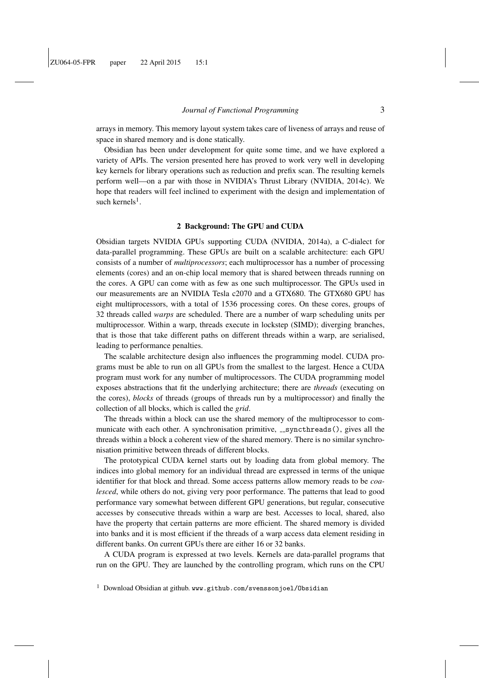arrays in memory. This memory layout system takes care of liveness of arrays and reuse of space in shared memory and is done statically.

Obsidian has been under development for quite some time, and we have explored a variety of APIs. The version presented here has proved to work very well in developing key kernels for library operations such as reduction and prefix scan. The resulting kernels perform well—on a par with those in NVIDIA's Thrust Library (NVIDIA, 2014c). We hope that readers will feel inclined to experiment with the design and implementation of such kernels<sup>1</sup>.

## 2 Background: The GPU and CUDA

Obsidian targets NVIDIA GPUs supporting CUDA (NVIDIA, 2014a), a C-dialect for data-parallel programming. These GPUs are built on a scalable architecture: each GPU consists of a number of *multiprocessors*; each multiprocessor has a number of processing elements (cores) and an on-chip local memory that is shared between threads running on the cores. A GPU can come with as few as one such multiprocessor. The GPUs used in our measurements are an NVIDIA Tesla c2070 and a GTX680. The GTX680 GPU has eight multiprocessors, with a total of 1536 processing cores. On these cores, groups of 32 threads called *warps* are scheduled. There are a number of warp scheduling units per multiprocessor. Within a warp, threads execute in lockstep (SIMD); diverging branches, that is those that take different paths on different threads within a warp, are serialised, leading to performance penalties.

The scalable architecture design also influences the programming model. CUDA programs must be able to run on all GPUs from the smallest to the largest. Hence a CUDA program must work for any number of multiprocessors. The CUDA programming model exposes abstractions that fit the underlying architecture; there are *threads* (executing on the cores), *blocks* of threads (groups of threads run by a multiprocessor) and finally the collection of all blocks, which is called the *grid*.

The threads within a block can use the shared memory of the multiprocessor to communicate with each other. A synchronisation primitive,  $\sqrt{s}$  syncthreads(), gives all the threads within a block a coherent view of the shared memory. There is no similar synchronisation primitive between threads of different blocks.

The prototypical CUDA kernel starts out by loading data from global memory. The indices into global memory for an individual thread are expressed in terms of the unique identifier for that block and thread. Some access patterns allow memory reads to be *coalesced*, while others do not, giving very poor performance. The patterns that lead to good performance vary somewhat between different GPU generations, but regular, consecutive accesses by consecutive threads within a warp are best. Accesses to local, shared, also have the property that certain patterns are more efficient. The shared memory is divided into banks and it is most efficient if the threads of a warp access data element residing in different banks. On current GPUs there are either 16 or 32 banks.

A CUDA program is expressed at two levels. Kernels are data-parallel programs that run on the GPU. They are launched by the controlling program, which runs on the CPU

 $^{\rm 1}$ Download Obsidian at github. www.github.com/svenssonjoel/Obsidian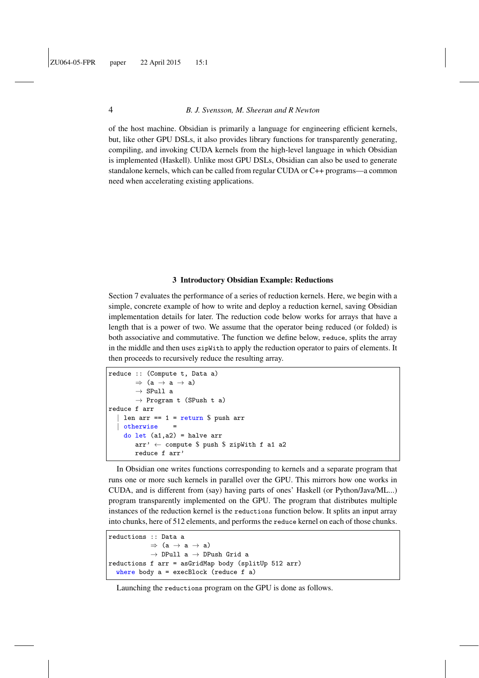of the host machine. Obsidian is primarily a language for engineering efficient kernels, but, like other GPU DSLs, it also provides library functions for transparently generating, compiling, and invoking CUDA kernels from the high-level language in which Obsidian is implemented (Haskell). Unlike most GPU DSLs, Obsidian can also be used to generate standalone kernels, which can be called from regular CUDA or C++ programs—a common need when accelerating existing applications.

#### 3 Introductory Obsidian Example: Reductions

Section 7 evaluates the performance of a series of reduction kernels. Here, we begin with a simple, concrete example of how to write and deploy a reduction kernel, saving Obsidian implementation details for later. The reduction code below works for arrays that have a length that is a power of two. We assume that the operator being reduced (or folded) is both associative and commutative. The function we define below, reduce, splits the array in the middle and then uses zipWith to apply the reduction operator to pairs of elements. It then proceeds to recursively reduce the resulting array.

```
reduce :: (Compute t, Data a)
        \Rightarrow (a \rightarrow a \rightarrow a)
        \rightarrow SPull a
        \rightarrow Program t (SPush t a)
reduce f arr
  | len arr == 1 = return $ push arr
  | otherwise =
    do let (a1, a2) = halve arr
        arr' ← compute $ push $ zipWith f a1 a2
        reduce f arr'
```
In Obsidian one writes functions corresponding to kernels and a separate program that runs one or more such kernels in parallel over the GPU. This mirrors how one works in CUDA, and is different from (say) having parts of ones' Haskell (or Python/Java/ML...) program transparently implemented on the GPU. The program that distributes multiple instances of the reduction kernel is the reductions function below. It splits an input array into chunks, here of 512 elements, and performs the reduce kernel on each of those chunks.

```
reductions :: Data a
              \Rightarrow (a \rightarrow a \rightarrow a)
              \rightarrow DPull a \rightarrow DPush Grid a
reductions f arr = asGridMap body (splitUp 512 arr)
  where body a = execBlock (reduce f a)
```
Launching the reductions program on the GPU is done as follows.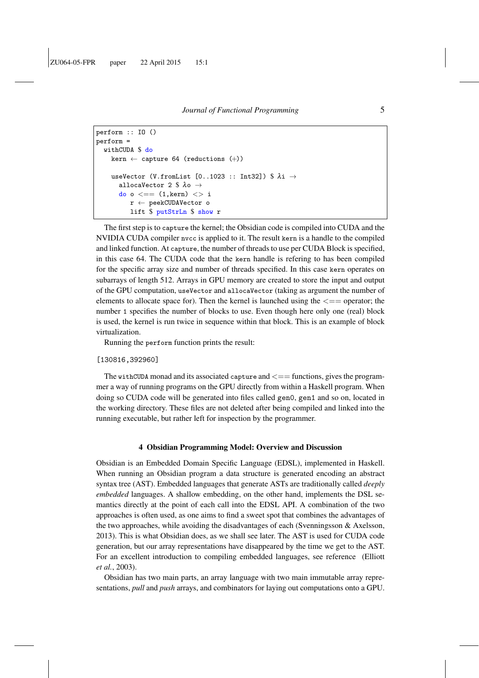```
perform :: IO ()
perform =
  withCUDA $ do
    kern \leftarrow capture 64 (reductions (+))
    useVector (V.fromList [0..1023 :: Int32]) $ \lambdai \rightarrowallocaVector 2 $ \lambdao \rightarrowdo o \leq = (1, \text{kern}) \lt i
          r ← peekCUDAVector o
          lift $ putStrLn $ show r
```
The first step is to capture the kernel; the Obsidian code is compiled into CUDA and the NVIDIA CUDA compiler nvcc is applied to it. The result kern is a handle to the compiled and linked function. At capture, the number of threads to use per CUDA Block is specified, in this case 64. The CUDA code that the kern handle is refering to has been compiled for the specific array size and number of threads specified. In this case kern operates on subarrays of length 512. Arrays in GPU memory are created to store the input and output of the GPU computation, useVector and allocaVector (taking as argument the number of elements to allocate space for). Then the kernel is launched using the  $\leq=$  operator; the number 1 specifies the number of blocks to use. Even though here only one (real) block is used, the kernel is run twice in sequence within that block. This is an example of block virtualization.

Running the perform function prints the result:

#### [130816,392960]

The withCUDA monad and its associated capture and  $\leq=\leq$  functions, gives the programmer a way of running programs on the GPU directly from within a Haskell program. When doing so CUDA code will be generated into files called gen0, gen1 and so on, located in the working directory. These files are not deleted after being compiled and linked into the running executable, but rather left for inspection by the programmer.

#### 4 Obsidian Programming Model: Overview and Discussion

Obsidian is an Embedded Domain Specific Language (EDSL), implemented in Haskell. When running an Obsidian program a data structure is generated encoding an abstract syntax tree (AST). Embedded languages that generate ASTs are traditionally called *deeply embedded* languages. A shallow embedding, on the other hand, implements the DSL semantics directly at the point of each call into the EDSL API. A combination of the two approaches is often used, as one aims to find a sweet spot that combines the advantages of the two approaches, while avoiding the disadvantages of each (Svenningsson & Axelsson, 2013). This is what Obsidian does, as we shall see later. The AST is used for CUDA code generation, but our array representations have disappeared by the time we get to the AST. For an excellent introduction to compiling embedded languages, see reference (Elliott *et al.*, 2003).

Obsidian has two main parts, an array language with two main immutable array representations, *pull* and *push* arrays, and combinators for laying out computations onto a GPU.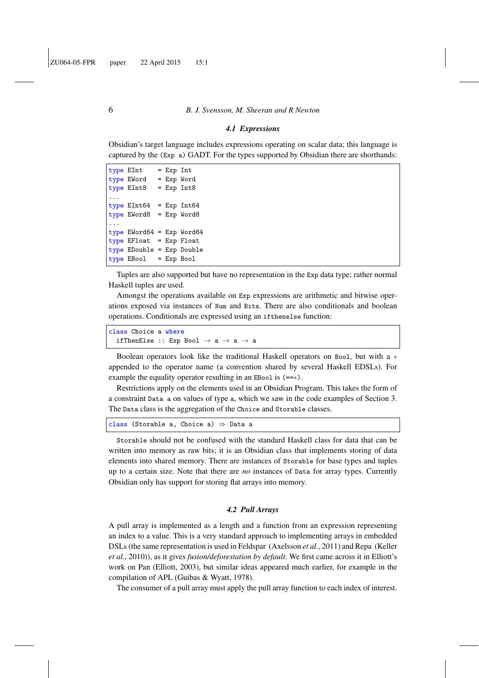#### *4.1 Expressions*

Obsidian's target language includes expressions operating on scalar data; this language is captured by the (Exp a) GADT. For the types supported by Obsidian there are shorthands:

```
type EInt = Exp Int
type EWord = Exp Word
type EInt8 = Exp Int8
...
type EInt64 = Exp Int64
type EWord8 = Exp Word8
...
type EWord64 = Exp Word64
type EFloat = Exp Float
type EDouble = Exp Double
type EBool = Exp Bool
```
Tuples are also supported but have no representation in the Exp data type; rather normal Haskell tuples are used.

Amongst the operations available on Exp expressions are arithmetic and bitwise operations exposed via instances of Num and Bits. There are also conditionals and boolean operations. Conditionals are expressed using an ifthenelse function:

```
class Choice a where
  ifThenElse :: Exp Bool \rightarrow a \rightarrow a \rightarrow a
```
Boolean operators look like the traditional Haskell operators on Bool, but with a ∗ appended to the operator name (a convention shared by several Haskell EDSLs). For example the equality operator resulting in an EBoo1 is (==∗).

Restrictions apply on the elements used in an Obsidian Program. This takes the form of a constraint Data a on values of type a, which we saw in the code examples of Section 3. The Data class is the aggregation of the Choice and Storable classes.

class (Storable a, Choice a)  $\Rightarrow$  Data a

Storable should not be confused with the standard Haskell class for data that can be written into memory as raw bits; it is an Obsidian class that implements storing of data elements into shared memory. There are instances of Storable for base types and tuples up to a certain size. Note that there are *no* instances of Data for array types. Currently Obsidian only has support for storing flat arrays into memory.

## *4.2 Pull Arrays*

A pull array is implemented as a length and a function from an expression representing an index to a value. This is a very standard approach to implementing arrays in embedded DSLs (the same representation is used in Feldspar (Axelsson *et al.*, 2011) and Repa (Keller *et al.*, 2010)), as it gives *fusion/deforestation by default*. We first came across it in Elliott's work on Pan (Elliott, 2003), but similar ideas appeared much earlier, for example in the compilation of APL (Guibas & Wyatt, 1978).

The consumer of a pull array must apply the pull array function to each index of interest.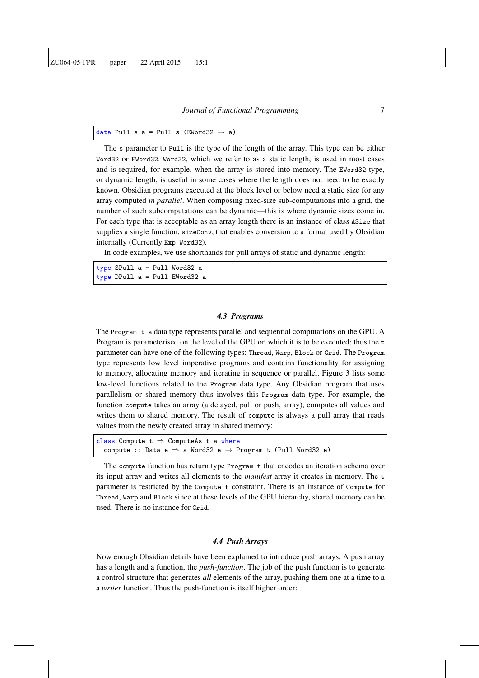data Pull s a = Pull s (EWord32  $\rightarrow$  a)

The s parameter to Pull is the type of the length of the array. This type can be either Word32 or EWord32. Word32, which we refer to as a static length, is used in most cases and is required, for example, when the array is stored into memory. The EWord32 type, or dynamic length, is useful in some cases where the length does not need to be exactly known. Obsidian programs executed at the block level or below need a static size for any array computed *in parallel*. When composing fixed-size sub-computations into a grid, the number of such subcomputations can be dynamic—this is where dynamic sizes come in. For each type that is acceptable as an array length there is an instance of class ASize that supplies a single function, sizeConv, that enables conversion to a format used by Obsidian internally (Currently Exp Word32).

In code examples, we use shorthands for pull arrays of static and dynamic length:

type SPull a = Pull Word32 a type DPull a = Pull EWord32 a

## *4.3 Programs*

The Program t a data type represents parallel and sequential computations on the GPU. A Program is parameterised on the level of the GPU on which it is to be executed; thus the t parameter can have one of the following types: Thread, Warp, Block or Grid. The Program type represents low level imperative programs and contains functionality for assigning to memory, allocating memory and iterating in sequence or parallel. Figure 3 lists some low-level functions related to the Program data type. Any Obsidian program that uses parallelism or shared memory thus involves this Program data type. For example, the function compute takes an array (a delayed, pull or push, array), computes all values and writes them to shared memory. The result of compute is always a pull array that reads values from the newly created array in shared memory:

```
class Compute t \Rightarrow ComputeAs t a where
  compute :: Data e \Rightarrow a Word32 e \rightarrow Program t (Pull Word32 e)
```
The compute function has return type Program t that encodes an iteration schema over its input array and writes all elements to the *manifest* array it creates in memory. The t parameter is restricted by the Compute t constraint. There is an instance of Compute for Thread, Warp and Block since at these levels of the GPU hierarchy, shared memory can be used. There is no instance for Grid.

## *4.4 Push Arrays*

Now enough Obsidian details have been explained to introduce push arrays. A push array has a length and a function, the *push-function*. The job of the push function is to generate a control structure that generates *all* elements of the array, pushing them one at a time to a a *writer* function. Thus the push-function is itself higher order: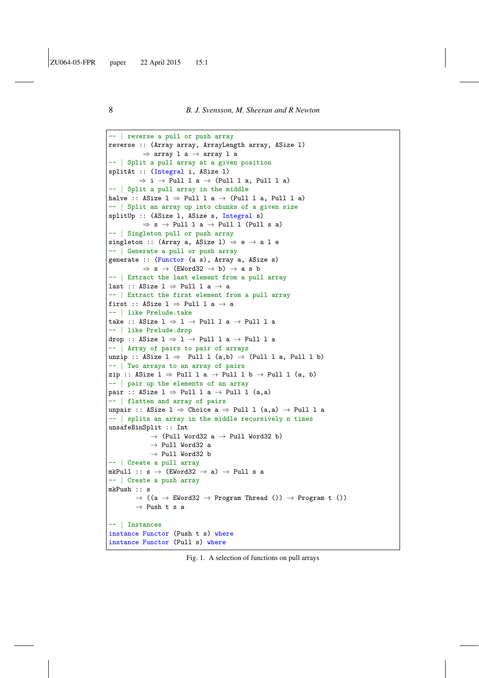```
-- | reverse a pull or push array
reverse :: (Array array, ArrayLength array, ASize l)
          \Rightarrow array 1 a \rightarrow array 1 a
-- | Split a pull array at a given position
splitAt :: (Integral i, ASize l)
          \Rightarrow i \rightarrow Pull l a \rightarrow (Pull l a, Pull l a)
-- | Split a pull array in the middle
halve :: ASize 1 \Rightarrow Pull 1 a \rightarrow (Pull 1 a, Pull 1 a)
-- | Split an array up into chunks of a given size
splitUp :: (ASize l, ASize s, Integral s)
          \Rightarrow s \rightarrow Pull 1 a \rightarrow Pull 1 (Pull s a)
-- | Singleton pull or push array
singleton :: (Array a, ASize 1) \Rightarrow e \rightarrow a 1 e
-- | Generate a pull or push array
generate :: (Functor (a s), Array a, ASize s)
          \Rightarrow s \rightarrow (EWord32 \rightarrow b) \rightarrow a s b
-- | Extract the last element from a pull array
last :: ASize 1 \Rightarrow Pull 1 a \rightarrow a
-- | Extract the first element from a pull array
first :: ASize 1 \Rightarrow Pull 1 a \rightarrow a
-- | like Prelude.take
take :: ASize 1 \Rightarrow 1 \rightarrow Pull 1 a \rightarrow Pull 1 a
-- | like Prelude.drop
drop :: ASize 1 \Rightarrow 1 \rightarrow Pull 1 a \rightarrow Pull 1 a
-- | Array of pairs to pair of arrays
unzip :: ASize 1 \Rightarrow Pull 1 (a,b) \rightarrow (Pull 1 a, Pull 1 b)
-- | Two arrays to an array of pairs
zip :: ASize 1 \Rightarrow Pull 1 a \rightarrow Pull 1 b \rightarrow Pull 1 (a, b)
-- | pair up the elements of an array
pair :: ASize 1 \Rightarrow Pull 1 a \rightarrow Pull 1 (a,a)
-- | flatten and array of pairs
unpair :: ASize 1 \Rightarrow Choice a \Rightarrow Pull 1 (a,a) \rightarrow Pull 1 a
-- | splits an array in the middle recursively n times
unsafeBinSplit :: Int
              \rightarrow (Pull Word32 a \rightarrow Pull Word32 b)
              \rightarrow Pull Word32 a
              \rightarrow Pull Word32 b
-- | Create a pull array
mkPull :: s \rightarrow (EWord32 \rightarrow a) \rightarrow Pull s a
-- | Create a push array
mkPush :: s
         \rightarrow ((a \rightarrow EWord32 \rightarrow Program Thread ()) \rightarrow Program t ())
         \rightarrow Push t s a
 -- | Instances
instance Functor (Push t s) where
instance Functor (Pull s) where
```
Fig. 1. A selection of functions on pull arrays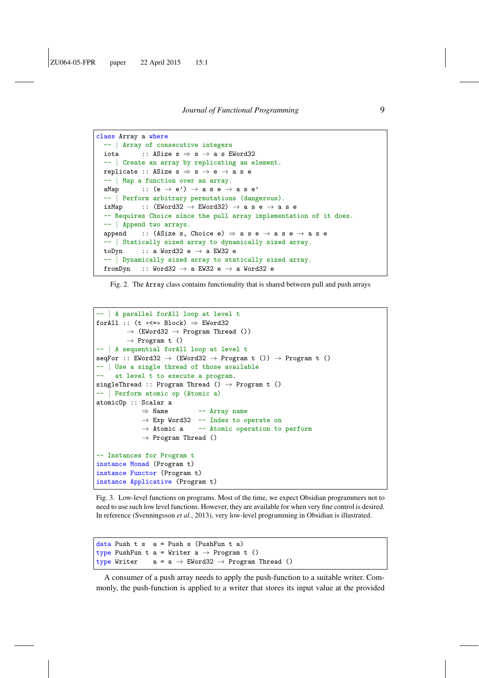```
class Array a where
  -- | Array of consecutive integers
  iota :: ASize s \Rightarrow s \rightarrow a s EWord32
  -- | Create an array by replicating an element.
  replicate :: ASize s \Rightarrow s \rightarrow e \rightarrow a s e-- | Map a function over an array.
  a Map :: (e \rightarrow e') \rightarrow a s e \rightarrow a s e'-- | Perform arbitrary permutations (dangerous).
  ixMap :: (EWord32 \rightarrow EWord32) \rightarrow a s e \rightarrow a s e
  -- Requires Choice since the pull array implementation of it does.
  -- | Append two arrays.
  append :: (ASize s, Choice e) \Rightarrow a s e \rightarrow a s e \rightarrow a s e
  -- | Statically sized array to dynamically sized array.
  toDyn :: a Word32 e \rightarrow a EW32 e
  -- | Dynamically sized array to statically sized array.
  fromDyn :: Word32 \rightarrow a EW32 e \rightarrow a Word32 e
```
Fig. 2. The Array class contains functionality that is shared between pull and push arrays

```
-- | A parallel forAll loop at level t
forAll :: (t *<=* Block) \Rightarrow EWord32
         \rightarrow (EWord32 \rightarrow Program Thread ())
         \rightarrow Program t ()
-- | A sequential forAll loop at level t
seqFor :: EWord32 \rightarrow (EWord32 \rightarrow Program t()) \rightarrow Program t()-- | Use a single thread of those available
    at level t to execute a program.
singleThread :: Program Thread () \rightarrow Program t ()
-- | Perform atomic op (Atomic a)
atomicOp :: Scalar a
              \Rightarrow Name -- Array name
              \rightarrow Exp Word32 -- Index to operate on
              \rightarrow Atomic a \rightarrow Atomic operation to perform
              \rightarrow Program Thread ()
-- Instances for Program t
instance Monad (Program t)
instance Functor (Program t)
instance Applicative (Program t)
```
Fig. 3. Low-level functions on programs. Most of the time, we expect Obsidian programmers not to need to use such low level functions. However, they are available for when very fine control is desired. In reference (Svenningsson *et al.*, 2013), very low-level programming in Obsidian is illustrated.

```
data Push t s a = P u sh s (P u sh Fun t a)type PushFun t a = Writer a \rightarrow Program t ()
type Writer a = a \rightarrow EWord32 \rightarrow Program Thread()
```
A consumer of a push array needs to apply the push-function to a suitable writer. Commonly, the push-function is applied to a writer that stores its input value at the provided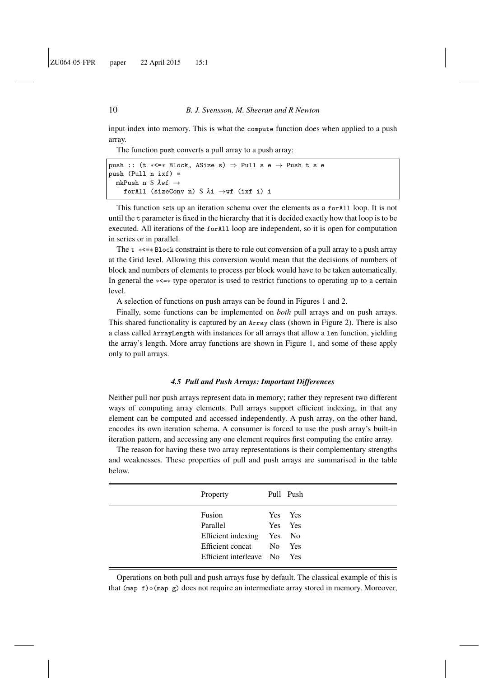input index into memory. This is what the compute function does when applied to a push array.

The function push converts a pull array to a push array:

```
push :: (t *<=* Block, ASize s) \Rightarrow Pull s e \rightarrow Push t s e
push (Pull n ixf) =
  mkPush n $ \lambdawf \rightarrowforAll (sizeConv n) \lambda i \rightarrow wf (ixf i) i
```
This function sets up an iteration schema over the elements as a forAll loop. It is not until the t parameter is fixed in the hierarchy that it is decided exactly how that loop is to be executed. All iterations of the forAll loop are independent, so it is open for computation in series or in parallel.

The t ∗<=∗ Block constraint is there to rule out conversion of a pull array to a push array at the Grid level. Allowing this conversion would mean that the decisions of numbers of block and numbers of elements to process per block would have to be taken automatically. In general the ∗<=∗ type operator is used to restrict functions to operating up to a certain level.

A selection of functions on push arrays can be found in Figures 1 and 2.

Finally, some functions can be implemented on *both* pull arrays and on push arrays. This shared functionality is captured by an Array class (shown in Figure 2). There is also a class called ArrayLength with instances for all arrays that allow a len function, yielding the array's length. More array functions are shown in Figure 1, and some of these apply only to pull arrays.

#### *4.5 Pull and Push Arrays: Important Differences*

Neither pull nor push arrays represent data in memory; rather they represent two different ways of computing array elements. Pull arrays support efficient indexing, in that any element can be computed and accessed independently. A push array, on the other hand, encodes its own iteration schema. A consumer is forced to use the push array's built-in iteration pattern, and accessing any one element requires first computing the entire array.

The reason for having these two array representations is their complementary strengths and weaknesses. These properties of pull and push arrays are summarised in the table below.

| Property                    | Pull Push |
|-----------------------------|-----------|
| Fusion                      | Yes Yes   |
| Parallel                    | Yes Yes   |
| Efficient indexing Yes No   |           |
| Efficient concat            | No Yes    |
| Efficient interleave No Yes |           |

Operations on both pull and push arrays fuse by default. The classical example of this is that (map f)∘(map g) does not require an intermediate array stored in memory. Moreover,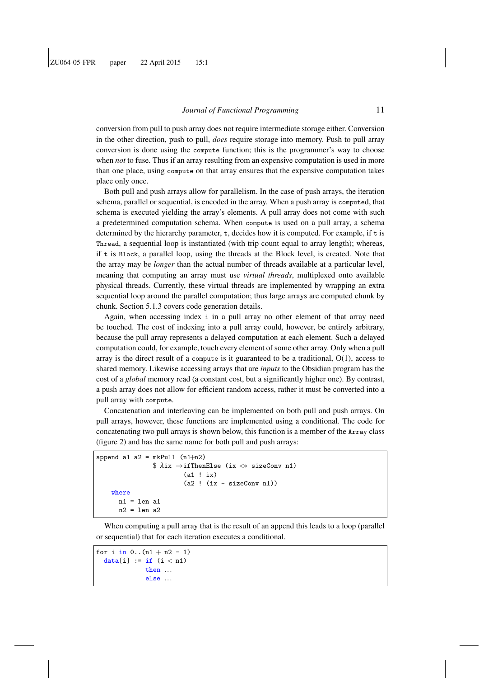conversion from pull to push array does not require intermediate storage either. Conversion in the other direction, push to pull, *does* require storage into memory. Push to pull array conversion is done using the compute function; this is the programmer's way to choose when *not* to fuse. Thus if an array resulting from an expensive computation is used in more than one place, using compute on that array ensures that the expensive computation takes place only once.

Both pull and push arrays allow for parallelism. In the case of push arrays, the iteration schema, parallel or sequential, is encoded in the array. When a push array is computed, that schema is executed yielding the array's elements. A pull array does not come with such a predetermined computation schema. When compute is used on a pull array, a schema determined by the hierarchy parameter, t, decides how it is computed. For example, if t is Thread, a sequential loop is instantiated (with trip count equal to array length); whereas, if t is Block, a parallel loop, using the threads at the Block level, is created. Note that the array may be *longer* than the actual number of threads available at a particular level, meaning that computing an array must use *virtual threads*, multiplexed onto available physical threads. Currently, these virtual threads are implemented by wrapping an extra sequential loop around the parallel computation; thus large arrays are computed chunk by chunk. Section 5.1.3 covers code generation details.

Again, when accessing index i in a pull array no other element of that array need be touched. The cost of indexing into a pull array could, however, be entirely arbitrary, because the pull array represents a delayed computation at each element. Such a delayed computation could, for example, touch every element of some other array. Only when a pull array is the direct result of a compute is it guaranteed to be a traditional,  $O(1)$ , access to shared memory. Likewise accessing arrays that are *inputs* to the Obsidian program has the cost of a *global* memory read (a constant cost, but a significantly higher one). By contrast, a push array does not allow for efficient random access, rather it must be converted into a pull array with compute.

Concatenation and interleaving can be implemented on both pull and push arrays. On pull arrays, however, these functions are implemented using a conditional. The code for concatenating two pull arrays is shown below, this function is a member of the Array class (figure 2) and has the same name for both pull and push arrays:

```
append a1 a2 = mkPull (n1+n2)$ λix →ifThenElse (ix <∗ sizeConv n1)
                        (a1 \mid i x)(a2 \mid (ix - sizeConv n1))where
      n1 = len a1n2 = len a2
```
When computing a pull array that is the result of an append this leads to a loop (parallel or sequential) that for each iteration executes a conditional.

```
for i in 0..(n1 + n2 - 1)data[i] := if (i < n1)then ...
             else ...
```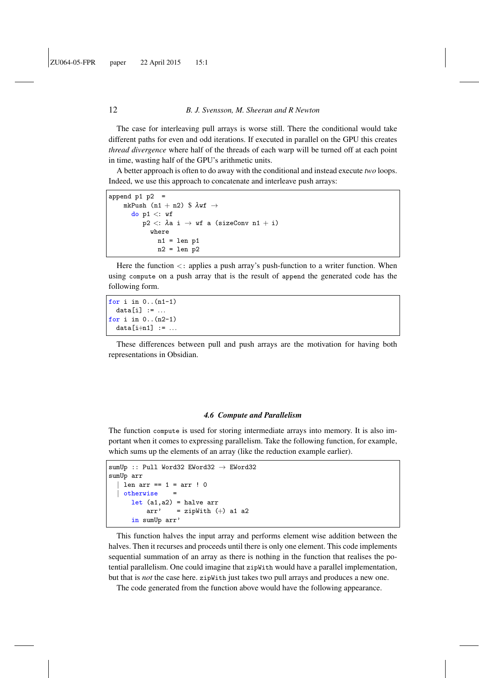The case for interleaving pull arrays is worse still. There the conditional would take different paths for even and odd iterations. If executed in parallel on the GPU this creates *thread divergence* where half of the threads of each warp will be turned off at each point in time, wasting half of the GPU's arithmetic units.

A better approach is often to do away with the conditional and instead execute *two* loops. Indeed, we use this approach to concatenate and interleave push arrays:

```
append p1 p2mkPush (n1 + n2) \text{\$} \lambda \text{wf } \rightarrowdo p1 <: wfp2 <: \lambda a \, i \, \rightarrow \, \text{wf } a \, (sizeConv n1 + i)
                 where
                   n1 = len p1n2 = len p2
```
Here the function <: applies a push array's push-function to a writer function. When using compute on a push array that is the result of append the generated code has the following form.

```
for i in 0..(n1-1)
  data[i] := ...
for i in 0..(n2-1)
  data[i+n1] := ...
```
These differences between pull and push arrays are the motivation for having both representations in Obsidian.

#### *4.6 Compute and Parallelism*

The function compute is used for storing intermediate arrays into memory. It is also important when it comes to expressing parallelism. Take the following function, for example, which sums up the elements of an array (like the reduction example earlier).

```
sumUp :: Pull Word32 EWord32 → EWord32
sumUp arr
  | len arr == 1 = arr ! 0
  | otherwise
     let (a1.a2) = halve arr
         arr' = zipWith (+) a1 a2
     in sumUp arr'
```
This function halves the input array and performs element wise addition between the halves. Then it recurses and proceeds until there is only one element. This code implements sequential summation of an array as there is nothing in the function that realises the potential parallelism. One could imagine that zipWith would have a parallel implementation, but that is *not* the case here. zipWith just takes two pull arrays and produces a new one.

The code generated from the function above would have the following appearance.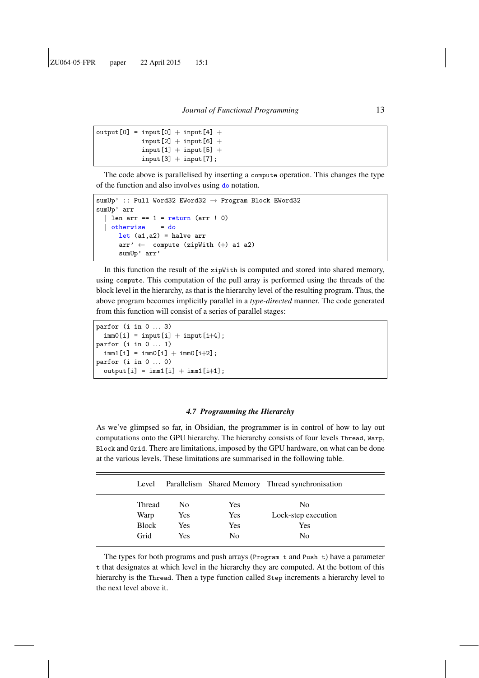$output[0] = input[0] + input[4] +$  $input[2] + input[6] +$  $input[1] + input[5] +$  $input[3] + input[7];$ 

The code above is parallelised by inserting a compute operation. This changes the type of the function and also involves using do notation.

```
sumUp' :: Pull Word32 EWord32 \rightarrow Program Block EWord32
sumUp' arr
  | len arr == 1 = return (arr ! 0)
  | otherwise = do
      let (a1.a2) = halve arr
      arr' ← compute (zipWith (+) a1 a2)
      sumUp' arr'
```
In this function the result of the zipWith is computed and stored into shared memory, using compute. This computation of the pull array is performed using the threads of the block level in the hierarchy, as that is the hierarchy level of the resulting program. Thus, the above program becomes implicitly parallel in a *type-directed* manner. The code generated from this function will consist of a series of parallel stages:

```
parfor (i in 0 ... 3)
  imm0[i] = input[i] + input[i+4];parfor (i in 0 ... 1)
  imm1[i] = imm0[i] + imm0[i+2];parfor (i \text{ in } 0 \ldots 0)output[i] = imm1[i] + imm1[i+1];
```
# *4.7 Programming the Hierarchy*

As we've glimpsed so far, in Obsidian, the programmer is in control of how to lay out computations onto the GPU hierarchy. The hierarchy consists of four levels Thread, Warp, Block and Grid. There are limitations, imposed by the GPU hardware, on what can be done at the various levels. These limitations are summarised in the following table.

| Level        |            |                | Parallelism Shared Memory Thread synchronisation |
|--------------|------------|----------------|--------------------------------------------------|
| Thread       | No.        | Yes            | N <sub>0</sub>                                   |
| Warp         | Yes        | Yes            | Lock-step execution                              |
| <b>Block</b> | <b>Yes</b> | Yes            | Yes                                              |
| Grid         | Yes        | N <sub>0</sub> | N <sub>0</sub>                                   |
|              |            |                |                                                  |

The types for both programs and push arrays (Program t and Push t) have a parameter t that designates at which level in the hierarchy they are computed. At the bottom of this hierarchy is the Thread. Then a type function called Step increments a hierarchy level to the next level above it.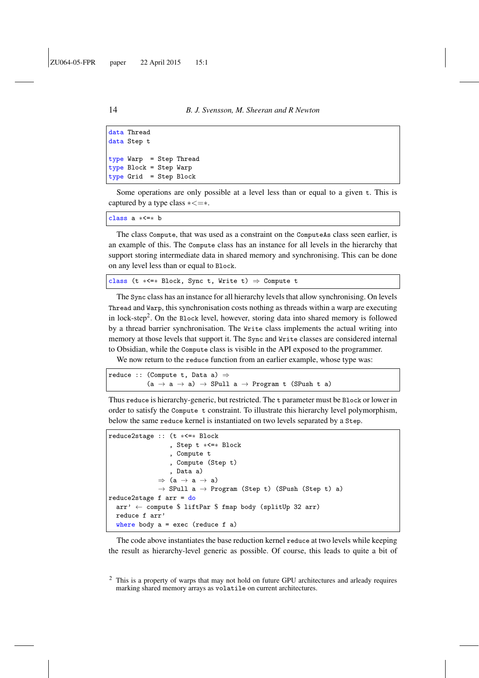```
data Thread
data Step t
type Warp = Step Thread
type Block = Step Warp
type Grid = Step Block
```
Some operations are only possible at a level less than or equal to a given t. This is captured by a type class  $* \leq =*$ .

class a ∗<=∗ b

The class Compute, that was used as a constraint on the ComputeAs class seen earlier, is an example of this. The Compute class has an instance for all levels in the hierarchy that support storing intermediate data in shared memory and synchronising. This can be done on any level less than or equal to Block.

```
class (t ∗<=∗ Block, Sync t, Write t) ⇒ Compute t
```
The Sync class has an instance for all hierarchy levels that allow synchronising. On levels Thread and Warp, this synchronisation costs nothing as threads within a warp are executing in lock-step<sup>2</sup>. On the Block level, however, storing data into shared memory is followed by a thread barrier synchronisation. The Write class implements the actual writing into memory at those levels that support it. The Sync and Write classes are considered internal to Obsidian, while the Compute class is visible in the API exposed to the programmer.

We now return to the reduce function from an earlier example, whose type was:

reduce :: (Compute t, Data a)  $\Rightarrow$  $(a \rightarrow a \rightarrow a) \rightarrow$  SPull a  $\rightarrow$  Program t (SPush t a)

Thus reduce is hierarchy-generic, but restricted. The t parameter must be Block or lower in order to satisfy the Compute t constraint. To illustrate this hierarchy level polymorphism, below the same reduce kernel is instantiated on two levels separated by a Step.

```
reduce2stage :: (t ∗<=∗ Block
                   , Step t ∗<=∗ Block
                   , Compute t
                   , Compute (Step t)
                    , Data a)
                \Rightarrow (a \rightarrow a \rightarrow a)
                \rightarrow SPull a \rightarrow Program (Step t) (SPush (Step t) a)
reduce2stage f arr = do
  arr' \leftarrow compute $ liftPar $ fmap body (splitUp 32 arr)
  reduce f arr'
  where body a = exec (reduce f a)
```
The code above instantiates the base reduction kernel reduce at two levels while keeping the result as hierarchy-level generic as possible. Of course, this leads to quite a bit of

<sup>&</sup>lt;sup>2</sup> This is a property of warps that may not hold on future GPU architectures and arleady requires marking shared memory arrays as volatile on current architectures.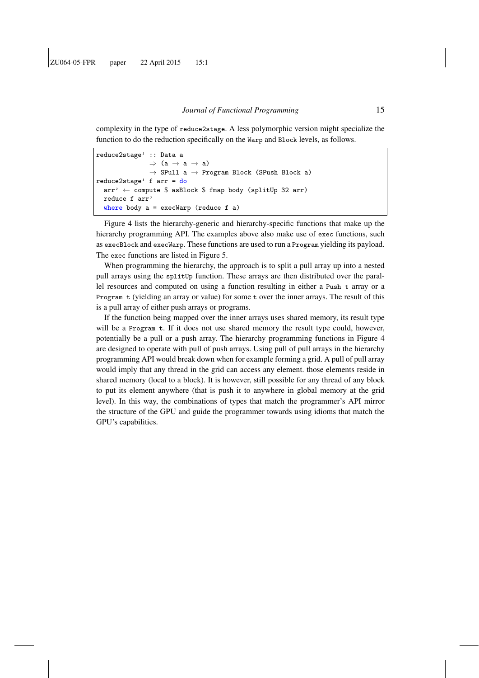complexity in the type of reduce2stage. A less polymorphic version might specialize the function to do the reduction specifically on the Warp and Block levels, as follows.

```
reduce2stage' :: Data a
                 \Rightarrow (a \rightarrow a \rightarrow a)
                  \rightarrow SPull a \rightarrow Program Block (SPush Block a)
reduce2stage' f arr = do
  arr' \leftarrow compute $ asBlock $ fmap body (splitUp 32 arr)
  reduce f arr'
  where body a = execWarp (reduce f a)
```
Figure 4 lists the hierarchy-generic and hierarchy-specific functions that make up the hierarchy programming API. The examples above also make use of exec functions, such as execBlock and execWarp. These functions are used to run a Program yielding its payload. The exec functions are listed in Figure 5.

When programming the hierarchy, the approach is to split a pull array up into a nested pull arrays using the splitUp function. These arrays are then distributed over the parallel resources and computed on using a function resulting in either a Push t array or a Program t (yielding an array or value) for some t over the inner arrays. The result of this is a pull array of either push arrays or programs.

If the function being mapped over the inner arrays uses shared memory, its result type will be a Program t. If it does not use shared memory the result type could, however, potentially be a pull or a push array. The hierarchy programming functions in Figure 4 are designed to operate with pull of push arrays. Using pull of pull arrays in the hierarchy programming API would break down when for example forming a grid. A pull of pull array would imply that any thread in the grid can access any element. those elements reside in shared memory (local to a block). It is however, still possible for any thread of any block to put its element anywhere (that is push it to anywhere in global memory at the grid level). In this way, the combinations of types that match the programmer's API mirror the structure of the GPU and guide the programmer towards using idioms that match the GPU's capabilities.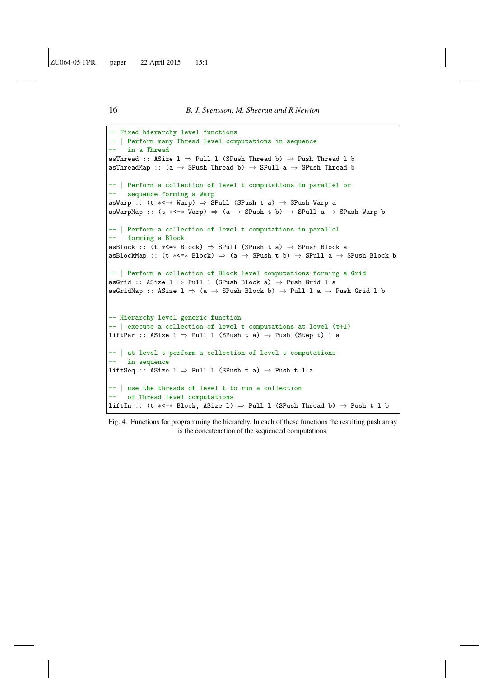```
-- Fixed hierarchy level functions
-- | Perform many Thread level computations in sequence
    in a Thread
asThread :: ASize 1 \Rightarrow Pull 1 (SPush Thread b) \rightarrow Push Thread 1 b
asThreadMap :: (a \rightarrow SPush Thread b) \rightarrow SPull a \rightarrow SPush Thread b
-- | Perform a collection of level t computations in parallel or
    sequence forming a Warp
asWarp :: (t *<=* Warp) \Rightarrow SPull (SPush t a) \rightarrow SPush Warp a
asWarpMap :: (t *<=* Warp) \Rightarrow (a \rightarrow SPush t b) \rightarrow SPull a \rightarrow SPush Warp b
-- | Perform a collection of level t computations in parallel
-- forming a Block
asBlock :: (t *<=* Block) \Rightarrow SPull (SPush t a) \rightarrow SPush Block a
asBlockMap :: (t *<=* Block) \Rightarrow (a \rightarrow SPush t b) \rightarrow SPull a \rightarrow SPush Block b
-- | Perform a collection of Block level computations forming a Grid
asGrid :: ASize 1 \Rightarrow Pull 1 (SPush Block a) \rightarrow Push Grid 1 a
asGridMap :: ASize 1 \Rightarrow (a \rightarrow SPush Block b) \rightarrow Pull 1 a \rightarrow Push Grid 1 b
-- Hierarchy level generic function
-- | execute a collection of level t computations at level (t+1)
liftPar :: ASize 1 \Rightarrow Pull 1 (SPush t a) \rightarrow Push (Step t) 1 a
-- | at level t perform a collection of level t computations
    in sequence
liftSeq :: ASize 1 \Rightarrow Pull 1 (SPush t a) \rightarrow Push t 1 a
-- | use the threads of level t to run a collection
    of Thread level computations
liftIn :: (t ∗<=∗ Block, ASize l) ⇒ Pull l (SPush Thread b) → Push t l b
```
Fig. 4. Functions for programming the hierarchy. In each of these functions the resulting push array is the concatenation of the sequenced computations.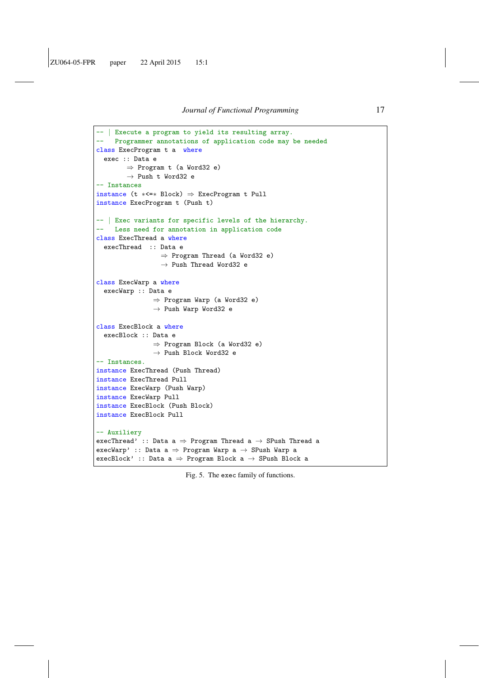```
-- | Execute a program to yield its resulting array.
    Programmer annotations of application code may be needed
class ExecProgram t a where
 exec :: Data e
        ⇒ Program t (a Word32 e)
        \rightarrow Push t Word32 e
-- Instances
instance (t ∗<=∗ Block) ⇒ ExecProgram t Pull
instance ExecProgram t (Push t)
-- | Exec variants for specific levels of the hierarchy.
-- Less need for annotation in application code
class ExecThread a where
 execThread :: Data e
                  ⇒ Program Thread (a Word32 e)
                  \rightarrow Push Thread Word32 e
class ExecWarp a where
 execWarp :: Data e
                ⇒ Program Warp (a Word32 e)
                \rightarrow Push Warp Word32 e
class ExecBlock a where
 execBlock :: Data e
               ⇒ Program Block (a Word32 e)
                \rightarrow Push Block Word32 e
-- Instances.
instance ExecThread (Push Thread)
instance ExecThread Pull
instance ExecWarp (Push Warp)
instance ExecWarp Pull
instance ExecBlock (Push Block)
instance ExecBlock Pull
-- Auxiliery
execThread' :: Data a \Rightarrow Program Thread a \rightarrow SPush Thread a
execWarp' :: Data a \Rightarrow Program Warp a \rightarrow SPush Warp a
execBlock' :: Data a \Rightarrow Program Block a \rightarrow SPush Block a
```
Fig. 5. The exec family of functions.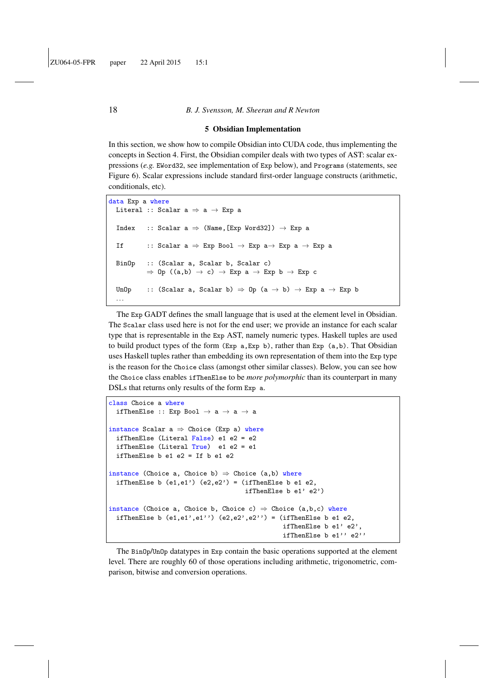#### 5 Obsidian Implementation

In this section, we show how to compile Obsidian into CUDA code, thus implementing the concepts in Section 4. First, the Obsidian compiler deals with two types of AST: scalar expressions (*e.g.* EWord32, see implementation of Exp below), and Programs (statements, see Figure 6). Scalar expressions include standard first-order language constructs (arithmetic, conditionals, etc).

```
data Exp a where
  Literal :: Scalar a \Rightarrow a \rightarrow Exp a
  Index :: Scalar a \Rightarrow (Name, [Exp Word32]) \rightarrow Exp a
  If :: Scalar a \Rightarrow Exp Bool \rightarrow Exp a\rightarrow Exp a \rightarrow Exp a
  BinOp :: (Scalar a, Scalar b, Scalar c)
              \Rightarrow Op ((a,b) \rightarrow c) \rightarrow Exp a \rightarrow Exp b \rightarrow Exp c
  UnOp :: (Scalar a, Scalar b) \Rightarrow Op (a \rightarrow b) \rightarrow Exp a \rightarrow Exp b
  ...
```
The Exp GADT defines the small language that is used at the element level in Obsidian. The Scalar class used here is not for the end user; we provide an instance for each scalar type that is representable in the Exp AST, namely numeric types. Haskell tuples are used to build product types of the form (Exp a,Exp b), rather than Exp (a,b). That Obsidian uses Haskell tuples rather than embedding its own representation of them into the Exp type is the reason for the Choice class (amongst other similar classes). Below, you can see how the Choice class enables ifThenElse to be *more polymorphic* than its counterpart in many DSLs that returns only results of the form Exp a.

```
class Choice a where
  \mathtt{ifThenElse} \, :: \, \mathtt{Exp} \, \, \mathtt{Bool} \, \rightarrow \, \mathtt{a} \, \rightarrow \, \mathtt{a} \, \rightarrow \, \mathtt{a}instance Scalar a \Rightarrow Choice (Exp a) where
  ifThenElse (Literal False) e1 e2 = e2
  ifThenElse (Literal True) e1 e2 = e1
  ifThenElse b e1 e2 = If b e1 e2
instance (Choice a, Choice b) \Rightarrow Choice (a,b) where
  ifThenElse b (e1,e1') (e2,e2') = (ifThenElse b e1 e2,
                                              ifThenElse b e1' e2')
instance (Choice a, Choice b, Choice c) \Rightarrow Choice (a,b,c) where
  ifThenElse b (e1,e1',e1'') (e2,e2',e2'') = (ifThenElse b e1 e2,ifThenElse b e1' e2',
                                                           ifThenElse b e1'' e2''
```
The BinOp/UnOp datatypes in Exp contain the basic operations supported at the element level. There are roughly 60 of those operations including arithmetic, trigonometric, comparison, bitwise and conversion operations.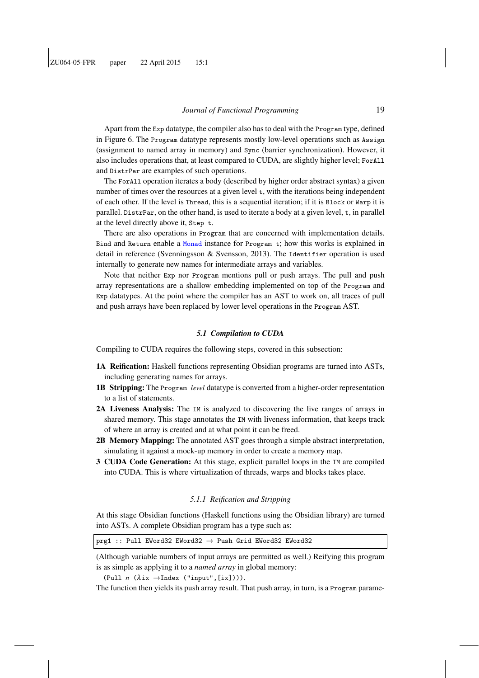Apart from the Exp datatype, the compiler also has to deal with the Program type, defined in Figure 6. The Program datatype represents mostly low-level operations such as Assign (assignment to named array in memory) and Sync (barrier synchronization). However, it also includes operations that, at least compared to CUDA, are slightly higher level; ForAll and DistrPar are examples of such operations.

The ForAll operation iterates a body (described by higher order abstract syntax) a given number of times over the resources at a given level t, with the iterations being independent of each other. If the level is Thread, this is a sequential iteration; if it is Block or Warp it is parallel. DistrPar, on the other hand, is used to iterate a body at a given level, t, in parallel at the level directly above it, Step t.

There are also operations in Program that are concerned with implementation details. Bind and Return enable a Monad instance for Program t; how this works is explained in detail in reference (Svenningsson & Svensson, 2013). The Identifier operation is used internally to generate new names for intermediate arrays and variables.

Note that neither Exp nor Program mentions pull or push arrays. The pull and push array representations are a shallow embedding implemented on top of the Program and Exp datatypes. At the point where the compiler has an AST to work on, all traces of pull and push arrays have been replaced by lower level operations in the Program AST.

#### *5.1 Compilation to CUDA*

Compiling to CUDA requires the following steps, covered in this subsection:

- 1A Reification: Haskell functions representing Obsidian programs are turned into ASTs, including generating names for arrays.
- 1B Stripping: The Program *level* datatype is converted from a higher-order representation to a list of statements.
- 2A Liveness Analysis: The IM is analyzed to discovering the live ranges of arrays in shared memory. This stage annotates the IM with liveness information, that keeps track of where an array is created and at what point it can be freed.
- 2B Memory Mapping: The annotated AST goes through a simple abstract interpretation, simulating it against a mock-up memory in order to create a memory map.
- 3 CUDA Code Generation: At this stage, explicit parallel loops in the IM are compiled into CUDA. This is where virtualization of threads, warps and blocks takes place.

#### *5.1.1 Reification and Stripping*

At this stage Obsidian functions (Haskell functions using the Obsidian library) are turned into ASTs. A complete Obsidian program has a type such as:

|  | $prg1 ::$ Pull EWord32 EWord32 $\rightarrow$ Push Grid EWord32 EWord32 |
|--|------------------------------------------------------------------------|
|--|------------------------------------------------------------------------|

(Although variable numbers of input arrays are permitted as well.) Reifying this program is as simple as applying it to a *named array* in global memory:

(Pull *n*  $(\lambda ix \rightarrow \text{Index} ('input", [ix]))$ ).

The function then yields its push array result. That push array, in turn, is a Program parame-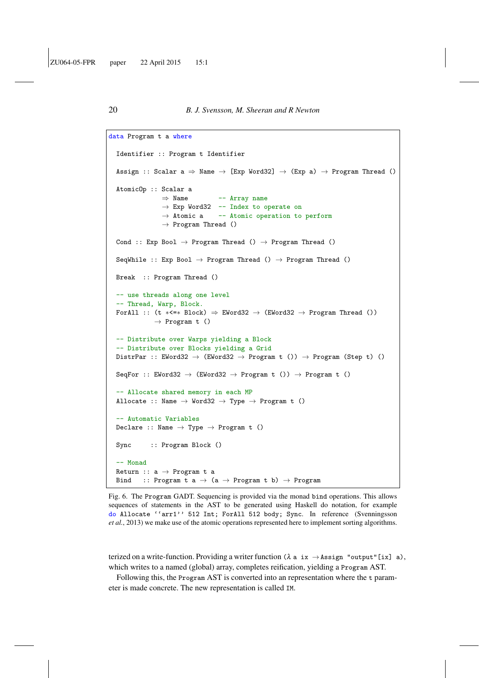```
data Program t a where
  Identifier :: Program t Identifier
  Assign :: Scalar a \Rightarrow Name \rightarrow [Exp Word32] \rightarrow (Exp a) \rightarrow Program Thread ()
  AtomicOp :: Scalar a
                 \Rightarrow Name -- Array name
                 \rightarrow Exp Word32 -- Index to operate on
                 \rightarrow Atomic a -- Atomic operation to perform
                 \rightarrow Program Thread ()
  Cond :: Exp Bool \rightarrow Program Thread () \rightarrow Program Thread ()
  SeqWhile :: Exp Bool \rightarrow Program Thread () \rightarrow Program Thread ()
  Break :: Program Thread ()
  -- use threads along one level
  -- Thread, Warp, Block.
 ForAll :: (t ∗<=∗ Block) ⇒ EWord32 → (EWord32 → Program Thread ())
              \rightarrow Program t ()
  -- Distribute over Warps yielding a Block
  -- Distribute over Blocks yielding a Grid
  DistrPar :: EWord32 \rightarrow (EWord32 \rightarrow Program t ()) \rightarrow Program (Step t) ()
  SeqFor :: EWord32 \rightarrow (EWord32 \rightarrow Program t ()) \rightarrow Program t ()
  -- Allocate shared memory in each MP
  Allocate :: Name \rightarrow Word32 \rightarrow Type \rightarrow Program t ()
  -- Automatic Variables
 Declare :: Name \rightarrow Type \rightarrow Program t ()
  Sync :: Program Block ()
  -- Monad
  Return :: a \rightarrow Program t a
 Bind :: Program t a \rightarrow (a \rightarrow Program t b) \rightarrow Program
```
Fig. 6. The Program GADT. Sequencing is provided via the monad bind operations. This allows sequences of statements in the AST to be generated using Haskell do notation, for example do Allocate ''arr1'' 512 Int; ForAll 512 body; Sync. In reference (Svenningsson *et al.*, 2013) we make use of the atomic operations represented here to implement sorting algorithms.

terized on a write-function. Providing a writer function ( $\lambda$  a ix  $\rightarrow$  Assign "output"[ix] a), which writes to a named (global) array, completes reification, yielding a Program AST.

Following this, the Program AST is converted into an representation where the t parameter is made concrete. The new representation is called IM.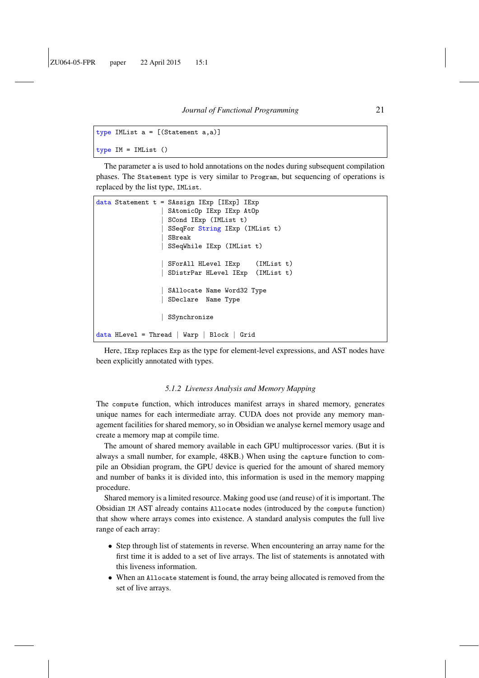```
type IMList a = [(Statement a,a)]type IM = IMList ()
```
The parameter a is used to hold annotations on the nodes during subsequent compilation phases. The Statement type is very similar to Program, but sequencing of operations is replaced by the list type, IMList.

```
data Statement t = SAssign IExp [IExp] IExp
                   | SAtomicOp IExp IExp AtOp
                   | SCond IExp (IMList t)
                   SSeqFor String IExp (IMList t)
                   | SBreak
                  | SSeqWhile IExp (IMList t)
                   | SForAll HLevel IExp (IMList t)
                   | SDistrPar HLevel IExp (IMList t)
                   SAllocate Name Word32 Type
                   | SDeclare Name Type
                 | SSynchronize
data HLevel = Thread | Warp | Block | Grid
```
Here, IExp replaces Exp as the type for element-level expressions, and AST nodes have been explicitly annotated with types.

#### *5.1.2 Liveness Analysis and Memory Mapping*

The compute function, which introduces manifest arrays in shared memory, generates unique names for each intermediate array. CUDA does not provide any memory management facilities for shared memory, so in Obsidian we analyse kernel memory usage and create a memory map at compile time.

The amount of shared memory available in each GPU multiprocessor varies. (But it is always a small number, for example, 48KB.) When using the capture function to compile an Obsidian program, the GPU device is queried for the amount of shared memory and number of banks it is divided into, this information is used in the memory mapping procedure.

Shared memory is a limited resource. Making good use (and reuse) of it is important. The Obsidian IM AST already contains Allocate nodes (introduced by the compute function) that show where arrays comes into existence. A standard analysis computes the full live range of each array:

- Step through list of statements in reverse. When encountering an array name for the first time it is added to a set of live arrays. The list of statements is annotated with this liveness information.
- When an Allocate statement is found, the array being allocated is removed from the set of live arrays.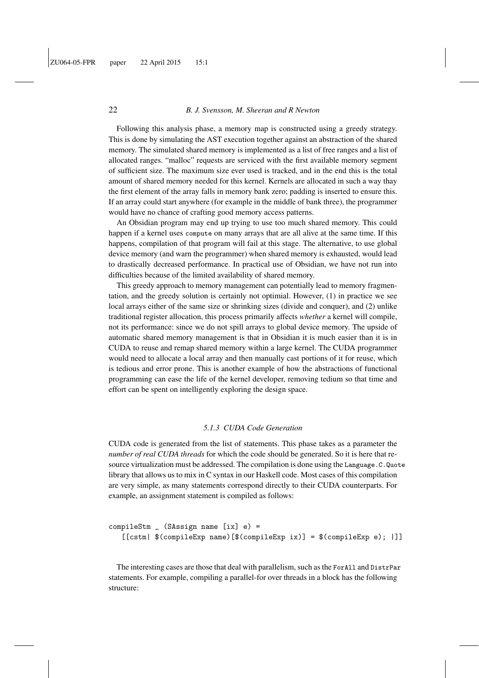Following this analysis phase, a memory map is constructed using a greedy strategy. This is done by simulating the AST execution together against an abstraction of the shared memory. The simulated shared memory is implemented as a list of free ranges and a list of allocated ranges. "malloc" requests are serviced with the first available memory segment of sufficient size. The maximum size ever used is tracked, and in the end this is the total amount of shared memory needed for this kernel. Kernels are allocated in such a way thay the first element of the array falls in memory bank zero; padding is inserted to ensure this. If an array could start anywhere (for example in the middle of bank three), the programmer would have no chance of crafting good memory access patterns.

An Obsidian program may end up trying to use too much shared memory. This could happen if a kernel uses compute on many arrays that are all alive at the same time. If this happens, compilation of that program will fail at this stage. The alternative, to use global device memory (and warn the programmer) when shared memory is exhausted, would lead to drastically decreased performance. In practical use of Obsidian, we have not run into difficulties because of the limited availability of shared memory.

This greedy approach to memory management can potentially lead to memory fragmentation, and the greedy solution is certainly not optimial. However, (1) in practice we see local arrays either of the same size or shrinking sizes (divide and conquer), and (2) unlike traditional register allocation, this process primarily affects *whether* a kernel will compile, not its performance: since we do not spill arrays to global device memory. The upside of automatic shared memory management is that in Obsidian it is much easier than it is in CUDA to reuse and remap shared memory within a large kernel. The CUDA programmer would need to allocate a local array and then manually cast portions of it for reuse, which is tedious and error prone. This is another example of how the abstractions of functional programming can ease the life of the kernel developer, removing tedium so that time and effort can be spent on intelligently exploring the design space.

## *5.1.3 CUDA Code Generation*

CUDA code is generated from the list of statements. This phase takes as a parameter the *number of real CUDA threads* for which the code should be generated. So it is here that resource virtualization must be addressed. The compilation is done using the Language.C.Quote library that allows us to mix in C syntax in our Haskell code. Most cases of this compilation are very simple, as many statements correspond directly to their CUDA counterparts. For example, an assignment statement is compiled as follows:

 $completeStm$  (SAssign name [ix] e) =  $[[cstm] $(compileExp name)[$(compileExp ix)] = $(compileExp e); []]$ 

The interesting cases are those that deal with parallelism, such as the ForAll and DistrPar statements. For example, compiling a parallel-for over threads in a block has the following structure: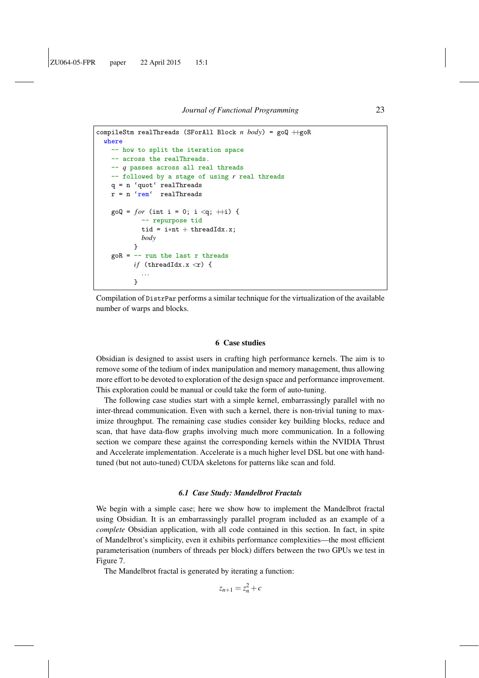```
compileStm realThreads (SForAll Block n body) = goQ ++goR
  where
    -- how to split the iteration space
    -- across the realThreads.
    -- q passes across all real threads
      followed by a stage of using r real threads
    q = n 'quot' realThreads
    r = n 'rem' realThreads
    \text{gol} = \text{for} (int i = 0; i <q; ++i) {
             -- repurpose tid
            tid = i * nt + threadIdx.x;body
          }
    g \circ R = - run the last r threads
          if (threadIdx.x \langler) {
             ...
          }
```
Compilation of DistrPar performs a similar technique for the virtualization of the available number of warps and blocks.

#### 6 Case studies

Obsidian is designed to assist users in crafting high performance kernels. The aim is to remove some of the tedium of index manipulation and memory management, thus allowing more effort to be devoted to exploration of the design space and performance improvement. This exploration could be manual or could take the form of auto-tuning.

The following case studies start with a simple kernel, embarrassingly parallel with no inter-thread communication. Even with such a kernel, there is non-trivial tuning to maximize throughput. The remaining case studies consider key building blocks, reduce and scan, that have data-flow graphs involving much more communication. In a following section we compare these against the corresponding kernels within the NVIDIA Thrust and Accelerate implementation. Accelerate is a much higher level DSL but one with handtuned (but not auto-tuned) CUDA skeletons for patterns like scan and fold.

#### *6.1 Case Study: Mandelbrot Fractals*

We begin with a simple case; here we show how to implement the Mandelbrot fractal using Obsidian. It is an embarrassingly parallel program included as an example of a *complete* Obsidian application, with all code contained in this section. In fact, in spite of Mandelbrot's simplicity, even it exhibits performance complexities—the most efficient parameterisation (numbers of threads per block) differs between the two GPUs we test in Figure 7.

The Mandelbrot fractal is generated by iterating a function:

$$
z_{n+1} = z_n^2 + c
$$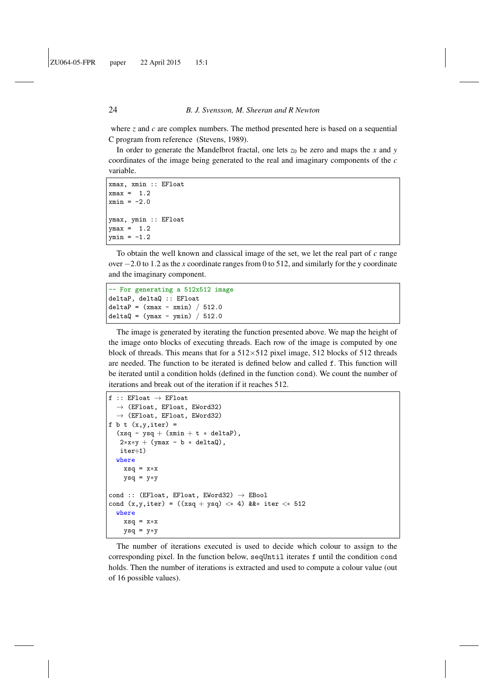where *z* and *c* are complex numbers. The method presented here is based on a sequential C program from reference (Stevens, 1989).

In order to generate the Mandelbrot fractal, one lets  $z_0$  be zero and maps the *x* and *y* coordinates of the image being generated to the real and imaginary components of the *c* variable.

```
xmax, xmin :: EFloat
xmax = 1.2xmin = -2.0ymax, ymin :: EFloat
\text{ymax} = 1.2vmin = -1.2
```
To obtain the well known and classical image of the set, we let the real part of *c* range over −2.0 to 1.2 as the *x* coordinate ranges from 0 to 512, and similarly for the y coordinate and the imaginary component.

```
- For generating a 512x512 image
deltaP, deltaQ :: EFloat
deltaP = (xmax - xmin) / 512.0deltaQ = (ymax - ymin) / 512.0
```
The image is generated by iterating the function presented above. We map the height of the image onto blocks of executing threads. Each row of the image is computed by one block of threads. This means that for a  $512\times512$  pixel image, 512 blocks of 512 threads are needed. The function to be iterated is defined below and called f. This function will be iterated until a condition holds (defined in the function cond). We count the number of iterations and break out of the iteration if it reaches 512.

```
f :: EFloat \rightarrow EFloat
  \rightarrow (EFloat, EFloat, EWord32)
  \rightarrow (EFloat, EFloat, EWord32)
f b t (x,y,iter) =
  (xsq - ysq + (xmin + t * delta),
   2*x*y + (ymax - b * deltaQ),
   iter+1)
  where
    xsq = x*xysq = y∗y
cond :: (EFloat, EFloat, EWord32) \rightarrow EBool
cond (x,y,iter) = ((xsq + ysq) < * 4) &&* iter \leq * 512where
    xsq = x*xysq = y∗y
```
The number of iterations executed is used to decide which colour to assign to the corresponding pixel. In the function below, seqUntil iterates f until the condition cond holds. Then the number of iterations is extracted and used to compute a colour value (out of 16 possible values).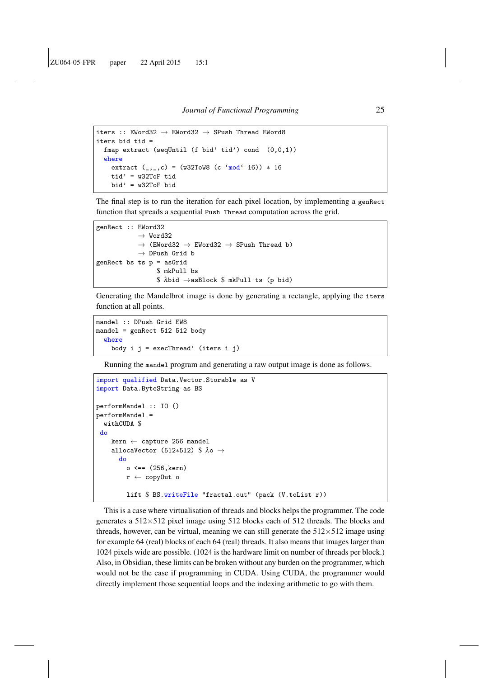```
iters :: EWord32 \rightarrow EWord32 \rightarrow SPush Thread EWord8
iters bid tid =
  fmap extract (seqUntil (f bid' tid') cond (0,0,1))
  where
    extract (\_ ,\_ ,c) = (w32Tow8 (c 'mod' 16)) * 16tid' = w32ToF tid
    bid' = w32ToF bid
```
The final step is to run the iteration for each pixel location, by implementing a genRect function that spreads a sequential Push Thread computation across the grid.

```
genRect :: EWord32
              \rightarrow Word32
              \rightarrow (EWord32 \rightarrow EWord32 \rightarrow SPush Thread b)
              \rightarrow DPush Grid b
genRect bs ts p = asGrid$ mkPull bs
                    $ λbid →asBlock $ mkPull ts (p bid)
```
Generating the Mandelbrot image is done by generating a rectangle, applying the iters function at all points.

```
mandel :: DPush Grid EW8
mandel = genRect 512 512 body
 where
   body i j = execThread' (iters i j)
```
Running the mandel program and generating a raw output image is done as follows.

```
import qualified Data.Vector.Storable as V
import Data.ByteString as BS
performMandel :: IO ()
performMandel =
  withCUDA $
 do
    \texttt{kern} \leftarrow \texttt{capture 256 mandel}allocaVector (512*512) $ \lambdao →
      do
         o \leq = (256, \text{kern})r ← copyOut o
         lift $ BS.writeFile "fractal.out" (pack (V.toList r))
```
This is a case where virtualisation of threads and blocks helps the programmer. The code generates a  $512\times512$  pixel image using 512 blocks each of 512 threads. The blocks and threads, however, can be virtual, meaning we can still generate the  $512\times512$  image using for example 64 (real) blocks of each 64 (real) threads. It also means that images larger than 1024 pixels wide are possible. (1024 is the hardware limit on number of threads per block.) Also, in Obsidian, these limits can be broken without any burden on the programmer, which would not be the case if programming in CUDA. Using CUDA, the programmer would directly implement those sequential loops and the indexing arithmetic to go with them.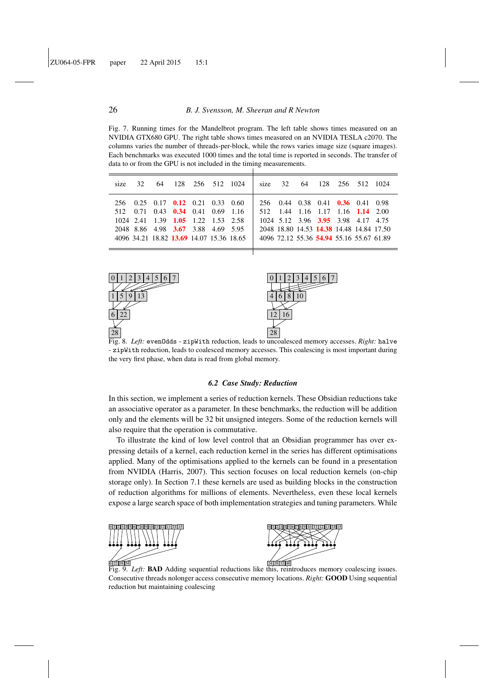Fig. 7. Running times for the Mandelbrot program. The left table shows times measured on an NVIDIA GTX680 GPU. The right table shows times measured on an NVIDIA TESLA c2070. The columns varies the number of threads-per-block, while the rows varies image size (square images). Each benchmarks was executed 1000 times and the total time is reported in seconds. The transfer of data to or from the GPU is not included in the timing measurements.

| size |                                                                                                                                                                                                |  | 32 64 128 256 512 1024 |  |  |  | size 32 64 128 256 512 1024                                                                                                                                                                          |  |
|------|------------------------------------------------------------------------------------------------------------------------------------------------------------------------------------------------|--|------------------------|--|--|--|------------------------------------------------------------------------------------------------------------------------------------------------------------------------------------------------------|--|
|      | 256 0.25 0.17 0.12 0.21 0.33 0.60<br>512 0.71 0.43 0.34 0.41 0.69 1.16<br>1024 2.41 1.39 1.05 1.22 1.53 2.58<br>2048 8.86 4.98 3.67 3.88 4.69 5.95<br>4096 34.21 18.82 13.69 14.07 15.36 18.65 |  |                        |  |  |  | 256 0.44 0.38 0.41 0.36 0.41 0.98<br>512 1.44 1.16 1.17 1.16 1.14 2.00<br>1024 5.12 3.96 3.95 3.98 4.17 4.75<br>2048 18.80 14.53 14.38 14.48 14.84 17.50<br>4096 72.12 55.36 54.94 55.16 55.67 61.89 |  |
|      |                                                                                                                                                                                                |  |                        |  |  |  |                                                                                                                                                                                                      |  |



Fig. 8. *Left:* evenOdds - zipWith reduction, leads to uncoalesced memory accesses. *Right:* halve - zipWith reduction, leads to coalesced memory accesses. This coalescing is most important during the very first phase, when data is read from global memory.

#### *6.2 Case Study: Reduction*

In this section, we implement a series of reduction kernels. These Obsidian reductions take an associative operator as a parameter. In these benchmarks, the reduction will be addition only and the elements will be 32 bit unsigned integers. Some of the reduction kernels will also require that the operation is commutative.

To illustrate the kind of low level control that an Obsidian programmer has over expressing details of a kernel, each reduction kernel in the series has different optimisations applied. Many of the optimisations applied to the kernels can be found in a presentation from NVIDIA (Harris, 2007). This section focuses on local reduction kernels (on-chip storage only). In Section 7.1 these kernels are used as building blocks in the construction of reduction algorithms for millions of elements. Nevertheless, even these local kernels expose a large search space of both implementation strategies and tuning parameters. While



Fig. 9. *Left:* BAD Adding sequential reductions like this, reintroduces memory coalescing issues. Consecutive threads nolonger access consecutive memory locations. *Right:* GOOD Using sequential reduction but maintaining coalescing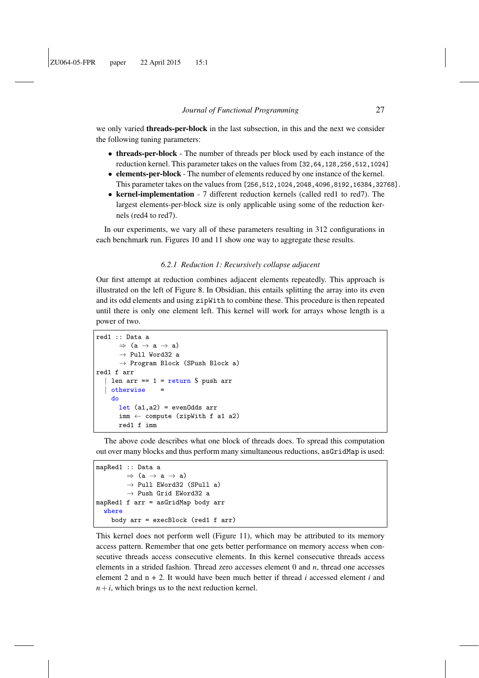we only varied threads-per-block in the last subsection, in this and the next we consider the following tuning parameters:

- threads-per-block The number of threads per block used by each instance of the reduction kernel. This parameter takes on the values from [32,64,128,256,512,1024]
- elements-per-block The number of elements reduced by one instance of the kernel. This parameter takes on the values from [256,512,1024,2048,4096,8192,16384,32768].
- kernel-implementation 7 different reduction kernels (called red1 to red7). The largest elements-per-block size is only applicable using some of the reduction kernels (red4 to red7).

In our experiments, we vary all of these parameters resulting in 312 configurations in each benchmark run. Figures 10 and 11 show one way to aggregate these results.

#### *6.2.1 Reduction 1: Recursively collapse adjacent*

Our first attempt at reduction combines adjacent elements repeatedly. This approach is illustrated on the left of Figure 8. In Obsidian, this entails splitting the array into its even and its odd elements and using zipWith to combine these. This procedure is then repeated until there is only one element left. This kernel will work for arrays whose length is a power of two.

```
red1 :: Data a
       \Rightarrow (a \rightarrow a \rightarrow a)
       \rightarrow Pull Word32 a
       \rightarrow Program Block (SPush Block a)
red1 f arr
  | len arr == 1 = return $ push arr
    otherwise
    do
       let (a1.a2) = even0dds arr
       imm ← compute (zipWith f a1 a2)
       red1 f imm
```
The above code describes what one block of threads does. To spread this computation out over many blocks and thus perform many simultaneous reductions, asGridMap is used:

```
mapRed1 :: Data a
          \Rightarrow (a \rightarrow a \rightarrow a)
          \rightarrow Pull EWord32 (SPull a)
          \rightarrow Push Grid EWord32 a
mapRed1 f arr = asGridMap body arr
  where
     body arr = execBlock (red1 f arr)
```
This kernel does not perform well (Figure 11), which may be attributed to its memory access pattern. Remember that one gets better performance on memory access when consecutive threads access consecutive elements. In this kernel consecutive threads access elements in a strided fashion. Thread zero accesses element 0 and *n*, thread one accesses element 2 and n + 2. It would have been much better if thread *i* accessed element *i* and  $n + i$ , which brings us to the next reduction kernel.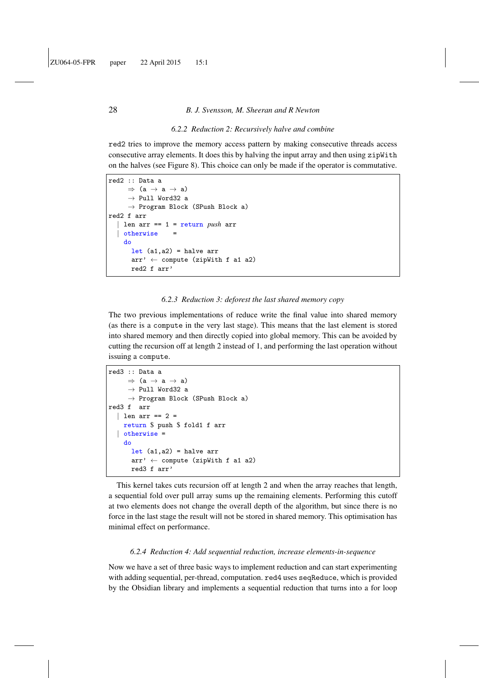#### *6.2.2 Reduction 2: Recursively halve and combine*

red2 tries to improve the memory access pattern by making consecutive threads access consecutive array elements. It does this by halving the input array and then using zipWith on the halves (see Figure 8). This choice can only be made if the operator is commutative.

```
red2 :: Data a
      \Rightarrow (a \rightarrow a \rightarrow a)
      \rightarrow Pull Word32 a
      \rightarrow Program Block (SPush Block a)
red2 f arr
  | len arr == 1 = return push arr
   otherwise =
    do
       let (a1, a2) = halve arr
       arr' ← compute (zipWith f a1 a2)
       red2 f arr'
```
#### *6.2.3 Reduction 3: deforest the last shared memory copy*

The two previous implementations of reduce write the final value into shared memory (as there is a compute in the very last stage). This means that the last element is stored into shared memory and then directly copied into global memory. This can be avoided by cutting the recursion off at length 2 instead of 1, and performing the last operation without issuing a compute.

```
red3 :: Data a
     \Rightarrow (a \rightarrow a \rightarrow a)
      \rightarrow Pull Word32 a
      \rightarrow Program Block (SPush Block a)
red3 f arr
  | len arr == 2 =
    return $ push $ fold1 f arr
   otherwise =
    do
       let (a1, a2) = halve arr
       arr' ← compute (zipWith f a1 a2)
       red3 f arr'
```
This kernel takes cuts recursion off at length 2 and when the array reaches that length, a sequential fold over pull array sums up the remaining elements. Performing this cutoff at two elements does not change the overall depth of the algorithm, but since there is no force in the last stage the result will not be stored in shared memory. This optimisation has minimal effect on performance.

#### *6.2.4 Reduction 4: Add sequential reduction, increase elements-in-sequence*

Now we have a set of three basic ways to implement reduction and can start experimenting with adding sequential, per-thread, computation. red4 uses seqReduce, which is provided by the Obsidian library and implements a sequential reduction that turns into a for loop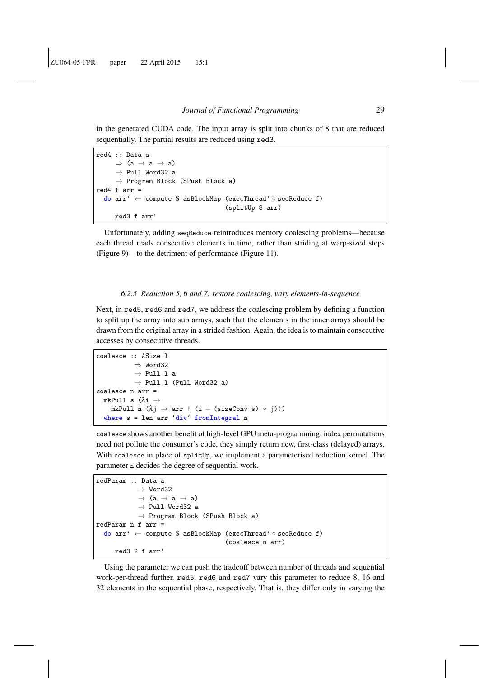in the generated CUDA code. The input array is split into chunks of 8 that are reduced sequentially. The partial results are reduced using red3.

```
red4 :: Data a
      \Rightarrow (a \rightarrow a \rightarrow a)
      \rightarrow Pull Word32 a
      \rightarrow Program Block (SPush Block a)
red4 f arr =
  do arr' ← compute $ asBlockMap (execThread' ◦ seqReduce f)
                                            (splitUp 8 arr)
      red3 f arr'
```
Unfortunately, adding seqReduce reintroduces memory coalescing problems—because each thread reads consecutive elements in time, rather than striding at warp-sized steps (Figure 9)—to the detriment of performance (Figure 11).

## *6.2.5 Reduction 5, 6 and 7: restore coalescing, vary elements-in-sequence*

Next, in red5, red6 and red7, we address the coalescing problem by defining a function to split up the array into sub arrays, such that the elements in the inner arrays should be drawn from the original array in a strided fashion. Again, the idea is to maintain consecutive accesses by consecutive threads.

```
coalesce :: ASize l
            ⇒ Word32
             \rightarrow Pull 1 a
            \rightarrow Pull 1 (Pull Word32 a)
coalesce n arr =
  mkPull s (\lambda i \rightarrowmkPull n (\lambda j \rightarrow arr \mid (i + (sizeConv s) * j)))where s = len arr 'div' fromIntegral n
```
coalesce shows another benefit of high-level GPU meta-programming: index permutations need not pollute the consumer's code, they simply return new, first-class (delayed) arrays. With coalesce in place of splitUp, we implement a parameterised reduction kernel. The parameter n decides the degree of sequential work.

```
redParam :: Data a
             ⇒ Word32
             \rightarrow (a \rightarrow a \rightarrow a)
             \rightarrow Pull Word32 a
             \rightarrow Program Block (SPush Block a)
redParam n f arr =
  do arr' ← compute $ asBlockMap (execThread' ◦ seqReduce f)
                                          (coalesce n arr)
     red3 2 f arr'
```
Using the parameter we can push the tradeoff between number of threads and sequential work-per-thread further. red5, red6 and red7 vary this parameter to reduce 8, 16 and 32 elements in the sequential phase, respectively. That is, they differ only in varying the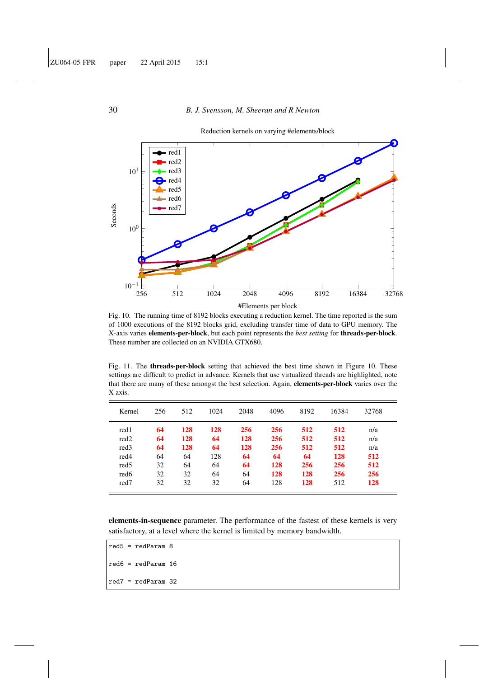

Fig. 10. The running time of 8192 blocks executing a reduction kernel. The time reported is the sum of 1000 executions of the 8192 blocks grid, excluding transfer time of data to GPU memory. The X-axis varies elements-per-block, but each point represents the *best setting* for threads-per-block. These number are collected on an NVIDIA GTX680.

Fig. 11. The threads-per-block setting that achieved the best time shown in Figure 10. These settings are difficult to predict in advance. Kernels that use virtualized threads are highlighted, note that there are many of these amongst the best selection. Again, elements-per-block varies over the X axis.

| Kernel           | 256 | 512 | 1024 | 2048 | 4096 | 8192 | 16384 | 32768 |  |
|------------------|-----|-----|------|------|------|------|-------|-------|--|
| red1             | 64  | 128 | 128  | 256  | 256  | 512  | 512   | n/a   |  |
| red <sub>2</sub> | 64  | 128 | 64   | 128  | 256  | 512  | 512   | n/a   |  |
| red <sub>3</sub> | 64  | 128 | 64   | 128  | 256  | 512  | 512   | n/a   |  |
| red <sub>4</sub> | 64  | 64  | 128  | 64   | 64   | 64   | 128   | 512   |  |
| red <sub>5</sub> | 32  | 64  | 64   | 64   | 128  | 256  | 256   | 512   |  |
| red <sub>6</sub> | 32  | 32  | 64   | 64   | 128  | 128  | 256   | 256   |  |
| red7             | 32  | 32  | 32   | 64   | 128  | 128  | 512   | 128   |  |
|                  |     |     |      |      |      |      |       |       |  |

elements-in-sequence parameter. The performance of the fastest of these kernels is very satisfactory, at a level where the kernel is limited by memory bandwidth.

```
red5 = redParam 8
red6 = redParam 16
red7 = redParam 32
```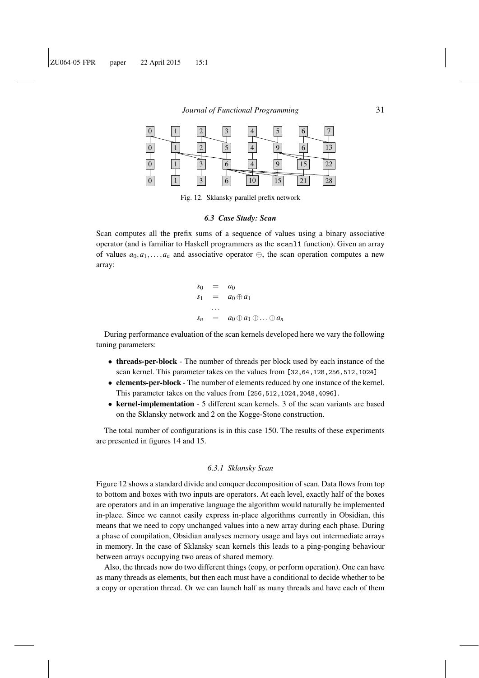|  |            | ◠ |     |   | ה |  |
|--|------------|---|-----|---|---|--|
|  |            |   |     |   |   |  |
|  | $\sqrt{2}$ | O |     | ◠ |   |  |
|  | $\sqrt{2}$ | n | 1 U |   |   |  |

Fig. 12. Sklansky parallel prefix network

#### *6.3 Case Study: Scan*

Scan computes all the prefix sums of a sequence of values using a binary associative operator (and is familiar to Haskell programmers as the scanl1 function). Given an array of values  $a_0, a_1, \ldots, a_n$  and associative operator  $\oplus$ , the scan operation computes a new array:

$$
s_0 = a_0
$$
  
\n
$$
s_1 = a_0 \oplus a_1
$$
  
\n...  
\n
$$
s_n = a_0 \oplus a_1 \oplus \ldots \oplus a_n
$$

During performance evaluation of the scan kernels developed here we vary the following tuning parameters:

- threads-per-block The number of threads per block used by each instance of the scan kernel. This parameter takes on the values from [32,64,128,256,512,1024]
- elements-per-block The number of elements reduced by one instance of the kernel. This parameter takes on the values from [256,512,1024,2048,4096].
- kernel-implementation 5 different scan kernels. 3 of the scan variants are based on the Sklansky network and 2 on the Kogge-Stone construction.

The total number of configurations is in this case 150. The results of these experiments are presented in figures 14 and 15.

#### *6.3.1 Sklansky Scan*

Figure 12 shows a standard divide and conquer decomposition of scan. Data flows from top to bottom and boxes with two inputs are operators. At each level, exactly half of the boxes are operators and in an imperative language the algorithm would naturally be implemented in-place. Since we cannot easily express in-place algorithms currently in Obsidian, this means that we need to copy unchanged values into a new array during each phase. During a phase of compilation, Obsidian analyses memory usage and lays out intermediate arrays in memory. In the case of Sklansky scan kernels this leads to a ping-ponging behaviour between arrays occupying two areas of shared memory.

Also, the threads now do two different things (copy, or perform operation). One can have as many threads as elements, but then each must have a conditional to decide whether to be a copy or operation thread. Or we can launch half as many threads and have each of them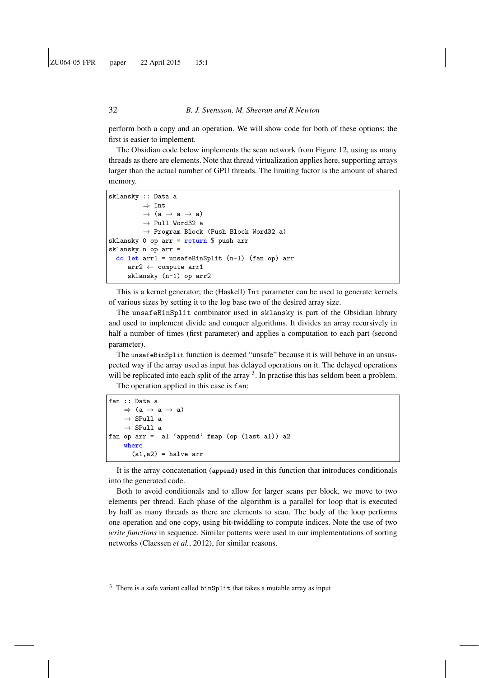perform both a copy and an operation. We will show code for both of these options; the first is easier to implement.

The Obsidian code below implements the scan network from Figure 12, using as many threads as there are elements. Note that thread virtualization applies here, supporting arrays larger than the actual number of GPU threads. The limiting factor is the amount of shared memory.

```
sklansky :: Data a
          ⇒ Int
          \rightarrow (a \rightarrow a \rightarrow a)
          \rightarrow Pull Word32 a
          \rightarrow Program Block (Push Block Word32 a)
sklansky 0 op arr = return $ push arr
sklansky n op arr =
  do let arr1 = unsafeBinSplit (n-1) (fan op) arr
     arr2 ← compute arr1
     sklansky (n-1) op arr2
```
This is a kernel generator; the (Haskell) Int parameter can be used to generate kernels of various sizes by setting it to the log base two of the desired array size.

The unsafeBinSplit combinator used in sklansky is part of the Obsidian library and used to implement divide and conquer algorithms. It divides an array recursively in half a number of times (first parameter) and applies a computation to each part (second parameter).

The unsafeBinSplit function is deemed "unsafe" because it is will behave in an unsuspected way if the array used as input has delayed operations on it. The delayed operations will be replicated into each split of the array  $3$ . In practise this has seldom been a problem.

The operation applied in this case is fan:

```
fan :: Data a
     \Rightarrow (a \rightarrow a \rightarrow a)
     \rightarrow SPull a
     \rightarrow SPull a
fan op arr = a1 'append' fmap (op (last a1)) a2
     where
        (a1, a2) = halve arr
```
It is the array concatenation (append) used in this function that introduces conditionals into the generated code.

Both to avoid conditionals and to allow for larger scans per block, we move to two elements per thread. Each phase of the algorithm is a parallel for loop that is executed by half as many threads as there are elements to scan. The body of the loop performs one operation and one copy, using bit-twiddling to compute indices. Note the use of two *write functions* in sequence. Similar patterns were used in our implementations of sorting networks (Claessen *et al.*, 2012), for similar reasons.

<sup>&</sup>lt;sup>3</sup> There is a safe variant called binSplit that takes a mutable array as input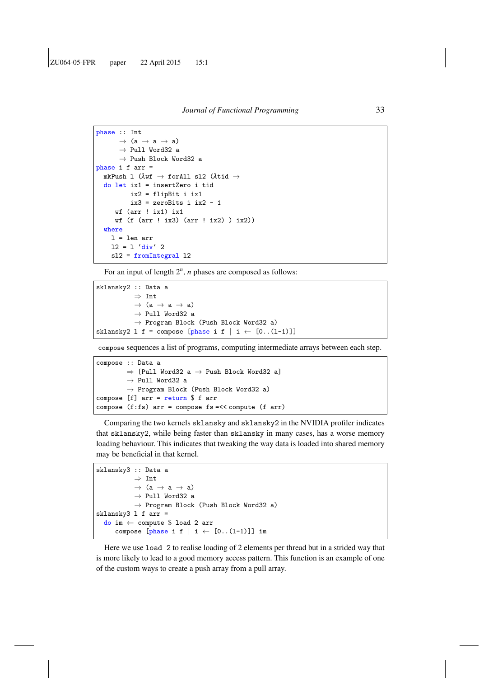```
phase :: Int
       \rightarrow (a \rightarrow a \rightarrow a)
       \rightarrow Pull Word32 a
       \rightarrow Push Block Word32 a
phase i f arr =
  mkPush l (\lambdawf \rightarrow forAll sl2 (\lambdatid \rightarrowdo let ix1 = insertZero i tid
           ix2 = flipBit i ix1
           ix3 = zeroBits i ix2 - 1wf (arr ! ix1) ix1
     wf (f (arr ! ix3) (arr ! ix2) ) ix2))
  where
    l = len arr12 = 1 'div' 2
    sl2 = fromIntegral l2
```
For an input of length 2*<sup>n</sup>* , *n* phases are composed as follows:

```
sklansky2 :: Data a
             ⇒ Int
             \rightarrow (a \rightarrow a \rightarrow a)
             \rightarrow Pull Word32 a
             \rightarrow Program Block (Push Block Word32 a)
sklansky2 l f = compose [phase i f | i \leftarrow [0..(1-1)]]
```
compose sequences a list of programs, computing intermediate arrays between each step.

```
compose :: Data a
         \Rightarrow [Pull Word32 a \rightarrow Push Block Word32 a]
         \rightarrow Pull Word32 a
         \rightarrow Program Block (Push Block Word32 a)
compose [f] arr = return $ f arr
compose (f:fs) arr = compose fs =<< compute (f arr)
```
Comparing the two kernels sklansky and sklansky2 in the NVIDIA profiler indicates that sklansky2, while being faster than sklansky in many cases, has a worse memory loading behaviour. This indicates that tweaking the way data is loaded into shared memory may be beneficial in that kernel.

```
sklansky3 :: Data a
             ⇒ Int
             \rightarrow (a \rightarrow a \rightarrow a)
             \rightarrow Pull Word32 a
             \rightarrow Program Block (Push Block Word32 a)
sklansky3 l f arr =
  do im ← compute $ load 2 arr
      compose [phase i f | i \leftarrow [0..(1-1)]] im
```
Here we use load 2 to realise loading of 2 elements per thread but in a strided way that is more likely to lead to a good memory access pattern. This function is an example of one of the custom ways to create a push array from a pull array.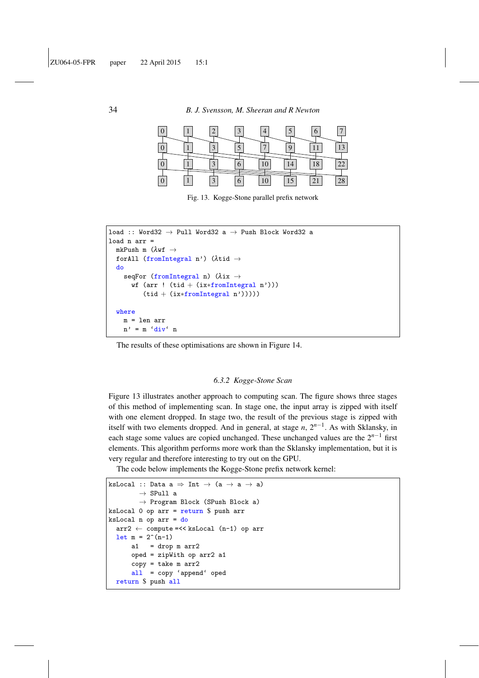34 *B. J. Svensson, M. Sheeran and R Newton*

|   | ◠ | ◠ | ٦ |    | -                        |
|---|---|---|---|----|--------------------------|
|   |   | n |   | 18 | $\overline{\phantom{a}}$ |
| U |   | n |   |    | c<br>ے ت                 |

Fig. 13. Kogge-Stone parallel prefix network

```
load :: Word32 \rightarrow Pull Word32 a \rightarrow Push Block Word32 a
load n arr =
  mkPush m (\lambdawf \rightarrowforAll (fromIntegral n') (\lambdatid \rightarrowdo
     seqFor (fromIntegral n) (λix →
       wf (arr ! (tid + (ix * from Integral n')))
           (tid + (ix∗fromIntegral n')))))
  where
    m = len arr
    n' = m'div' n
```
The results of these optimisations are shown in Figure 14.

## *6.3.2 Kogge-Stone Scan*

Figure 13 illustrates another approach to computing scan. The figure shows three stages of this method of implementing scan. In stage one, the input array is zipped with itself with one element dropped. In stage two, the result of the previous stage is zipped with itself with two elements dropped. And in general, at stage  $n$ ,  $2^{n-1}$ . As with Sklansky, in each stage some values are copied unchanged. These unchanged values are the 2*n*−<sup>1</sup> first elements. This algorithm performs more work than the Sklansky implementation, but it is very regular and therefore interesting to try out on the GPU.

The code below implements the Kogge-Stone prefix network kernel:

```
ksLocal :: Data a \Rightarrow Int \rightarrow (a \rightarrow a \rightarrow a)\rightarrow SPull a
          \rightarrow Program Block (SPush Block a)
ksLocal 0 op arr = return $ push arr
ksLocal n op arr = do
  arr2 \leftarrow compute =<< ksLocal (n-1) op arr
  let m = 2^{(n-1)}a1 = drop m \text{ arr2}oped = zipWith op arr2 a1
       copy = take m arr2
       all = copy 'append' oped
  return $ push all
```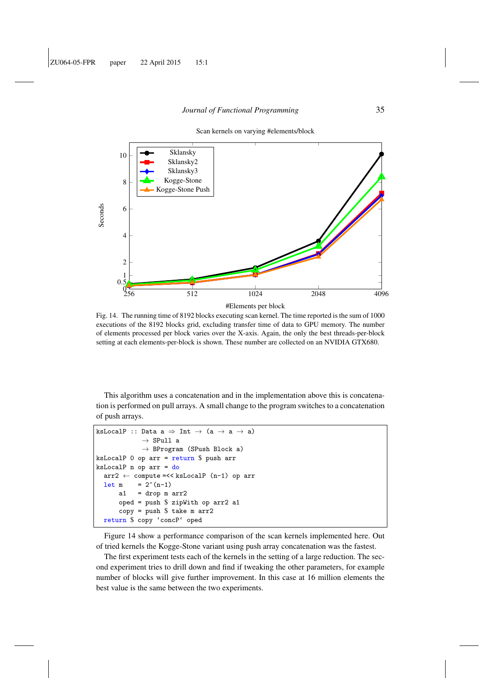



Fig. 14. The running time of 8192 blocks executing scan kernel. The time reported is the sum of 1000 executions of the 8192 blocks grid, excluding transfer time of data to GPU memory. The number of elements processed per block varies over the X-axis. Again, the only the best threads-per-block setting at each elements-per-block is shown. These number are collected on an NVIDIA GTX680.

This algorithm uses a concatenation and in the implementation above this is concatenation is performed on pull arrays. A small change to the program switches to a concatenation of push arrays.

```
ksLocalP :: Data a \Rightarrow Int \rightarrow (a \rightarrow a \rightarrow a)\rightarrow SPull a
              \rightarrow BProgram (SPush Block a)
ksLocalP 0 op arr = return $ push arr
ksLocalP n op arr = do
  arr2 ← compute =<< ksLocalP (n-1) op arr
  let m = 2^{(n-1)}a1 = drop m \text{ arr2}oped = push $ zipWith op arr2 a1
       copy = push $ take m arr2
  return $ copy 'concP' oped
```
Figure 14 show a performance comparison of the scan kernels implemented here. Out of tried kernels the Kogge-Stone variant using push array concatenation was the fastest.

The first experiment tests each of the kernels in the setting of a large reduction. The second experiment tries to drill down and find if tweaking the other parameters, for example number of blocks will give further improvement. In this case at 16 million elements the best value is the same between the two experiments.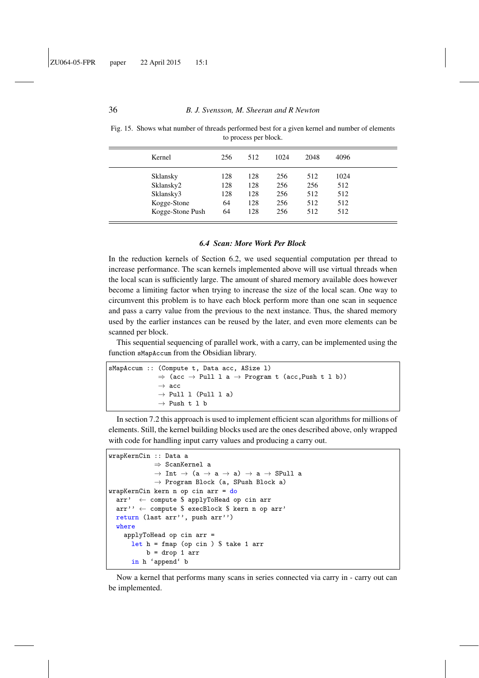Fig. 15. Shows what number of threads performed best for a given kernel and number of elements to process per block.

| Kernel           | 256 | 512 | 1024 | 2048 | 4096 |
|------------------|-----|-----|------|------|------|
| Sklansky         | 128 | 128 | 256  | 512  | 1024 |
| Sklansky2        | 128 | 128 | 256  | 256  | 512  |
| Sklansky3        | 128 | 128 | 256  | 512  | 512  |
| Kogge-Stone      | 64  | 128 | 256  | 512  | 512  |
| Kogge-Stone Push | 64  | 128 | 256  | 512  | 512  |
|                  |     |     |      |      |      |

# *6.4 Scan: More Work Per Block*

In the reduction kernels of Section 6.2, we used sequential computation per thread to increase performance. The scan kernels implemented above will use virtual threads when the local scan is sufficiently large. The amount of shared memory available does however become a limiting factor when trying to increase the size of the local scan. One way to circumvent this problem is to have each block perform more than one scan in sequence and pass a carry value from the previous to the next instance. Thus, the shared memory used by the earlier instances can be reused by the later, and even more elements can be scanned per block.

This sequential sequencing of parallel work, with a carry, can be implemented using the function sMapAccum from the Obsidian library.

```
sMapAccum :: (Compute t, Data acc, ASize l)
                  \Rightarrow (acc \rightarrow Pull 1 a \rightarrow Program t (acc, Push t 1 b))
                  \rightarrow acc
                  \rightarrow Pull 1 (Pull 1 a)
                  \rightarrow Push t 1 b
```
In section 7.2 this approach is used to implement efficient scan algorithms for millions of elements. Still, the kernel building blocks used are the ones described above, only wrapped with code for handling input carry values and producing a carry out.

```
wrapKernCin :: Data a
              ⇒ ScanKernel a
              \rightarrow Int \rightarrow (a \rightarrow a \rightarrow a) \rightarrow a \rightarrow SPull a
              \rightarrow Program Block (a, SPush Block a)
wrapKernCin kern n op cin arr = do
  arr' ← compute $ applyToHead op cin arr
  arr' \leftarrow compute $ execBlock $ kern n op arr'
  return (last arr'', push arr'')
  where
    applyToHead op cin arr =
       let h = fmap (op cin ) \$ take 1 arr
           b = drop 1 arrin h 'append' b
```
Now a kernel that performs many scans in series connected via carry in - carry out can be implemented.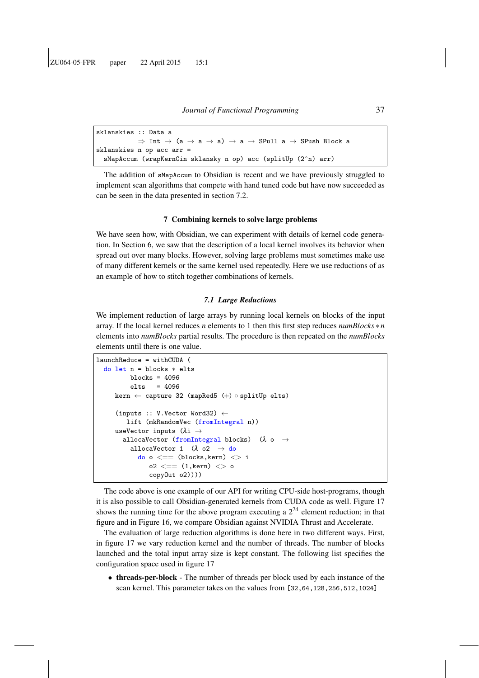```
sklanskies :: Data a
               \Rightarrow Int \rightarrow (a \rightarrow a \rightarrow a) \rightarrow a \rightarrow SPull a \rightarrow SPush Block a
sklanskies n op acc arr =
  sMapAccum (wrapKernCin sklansky n op) acc (splitUp (2^n) arr)
```
The addition of sMapAccum to Obsidian is recent and we have previously struggled to implement scan algorithms that compete with hand tuned code but have now succeeded as can be seen in the data presented in section 7.2.

#### 7 Combining kernels to solve large problems

We have seen how, with Obsidian, we can experiment with details of kernel code generation. In Section 6, we saw that the description of a local kernel involves its behavior when spread out over many blocks. However, solving large problems must sometimes make use of many different kernels or the same kernel used repeatedly. Here we use reductions of as an example of how to stitch together combinations of kernels.

#### *7.1 Large Reductions*

We implement reduction of large arrays by running local kernels on blocks of the input array. If the local kernel reduces *n* elements to 1 then this first step reduces *numBlocks* ∗ *n* elements into *numBlocks* partial results. The procedure is then repeated on the *numBlocks* elements until there is one value.

```
launchReduce = withCUDA (
  do let n = blocks ∗ elts
          blocks = 4096elts = 4096
     kern ← capture 32 (mapRed5 (+) \circ splitUp elts)
     (inputs :: V.Vector Word32) ←
         lift (mkRandomVec (fromIntegral n))
     useVector inputs (\lambda i \rightarrowallocaVector (fromIntegral blocks) (\lambda o \rightarrowallocaVector 1 (\lambda o2 \rightarrow do
            do o \leq = (blocks, kern) \lt i
                o2 \leq 1, kern) \langle > 0copyOut o2))))
```
The code above is one example of our API for writing CPU-side host-programs, though it is also possible to call Obsidian-generated kernels from CUDA code as well. Figure 17 shows the running time for the above program executing a  $2^{24}$  element reduction; in that figure and in Figure 16, we compare Obsidian against NVIDIA Thrust and Accelerate.

The evaluation of large reduction algorithms is done here in two different ways. First, in figure 17 we vary reduction kernel and the number of threads. The number of blocks launched and the total input array size is kept constant. The following list specifies the configuration space used in figure 17

• threads-per-block - The number of threads per block used by each instance of the scan kernel. This parameter takes on the values from [32,64,128,256,512,1024]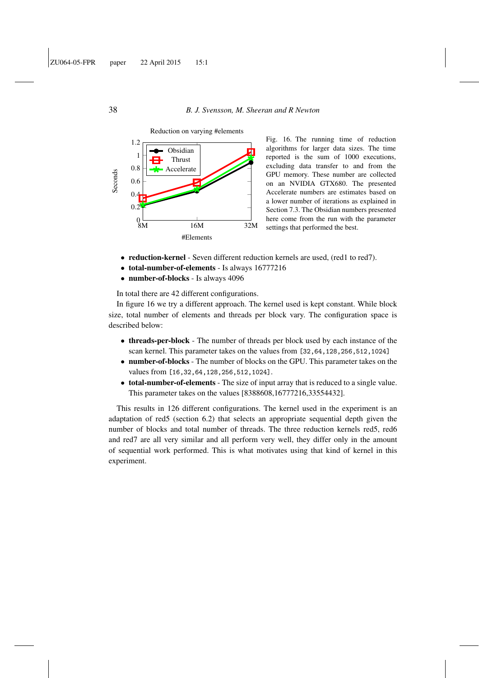

Fig. 16. The running time of reduction algorithms for larger data sizes. The time reported is the sum of 1000 executions, excluding data transfer to and from the GPU memory. These number are collected on an NVIDIA GTX680. The presented Accelerate numbers are estimates based on a lower number of iterations as explained in Section 7.3. The Obsidian numbers presented here come from the run with the parameter settings that performed the best.

- reduction-kernel Seven different reduction kernels are used, (red1 to red7).
- total-number-of-elements Is always 16777216
- number-of-blocks Is always 4096

In total there are 42 different configurations.

In figure 16 we try a different approach. The kernel used is kept constant. While block size, total number of elements and threads per block vary. The configuration space is described below:

- threads-per-block The number of threads per block used by each instance of the scan kernel. This parameter takes on the values from [32,64,128,256,512,1024]
- number-of-blocks The number of blocks on the GPU. This parameter takes on the values from [16,32,64,128,256,512,1024].
- total-number-of-elements The size of input array that is reduced to a single value. This parameter takes on the values [8388608,16777216,33554432].

This results in 126 different configurations. The kernel used in the experiment is an adaptation of red5 (section 6.2) that selects an appropriate sequential depth given the number of blocks and total number of threads. The three reduction kernels red5, red6 and red7 are all very similar and all perform very well, they differ only in the amount of sequential work performed. This is what motivates using that kind of kernel in this experiment.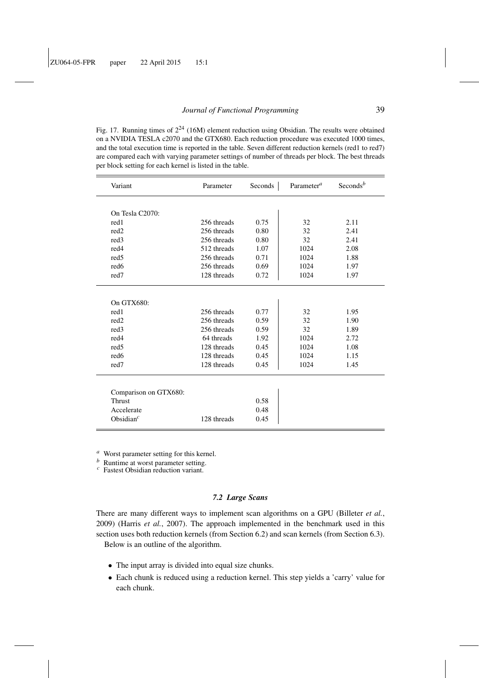Fig. 17. Running times of  $2^{24}$  (16M) element reduction using Obsidian. The results were obtained on a NVIDIA TESLA c2070 and the GTX680. Each reduction procedure was executed 1000 times, and the total execution time is reported in the table. Seven different reduction kernels (red1 to red7) are compared each with varying parameter settings of number of threads per block. The best threads per block setting for each kernel is listed in the table.

| Variant               | Parameter   | Seconds | Parameter <sup>a</sup> | Seconds <sup><math>b</math></sup> |
|-----------------------|-------------|---------|------------------------|-----------------------------------|
|                       |             |         |                        |                                   |
| On Tesla C2070:       |             |         |                        |                                   |
| red1                  | 256 threads | 0.75    | 32                     | 2.11                              |
| red <sub>2</sub>      | 256 threads | 0.80    | 32                     | 2.41                              |
| red <sub>3</sub>      | 256 threads | 0.80    | 32                     | 2.41                              |
| red <sub>4</sub>      | 512 threads | 1.07    | 1024                   | 2.08                              |
| red <sub>5</sub>      | 256 threads | 0.71    | 1024                   | 1.88                              |
| red <sub>6</sub>      | 256 threads | 0.69    | 1024                   | 1.97                              |
| red <sub>7</sub>      | 128 threads | 0.72    | 1024                   | 1.97                              |
|                       |             |         |                        |                                   |
| On GTX680:            |             |         |                        |                                   |
| red1                  | 256 threads | 0.77    | 32                     | 1.95                              |
| red <sub>2</sub>      | 256 threads | 0.59    | 32                     | 1.90                              |
| red <sub>3</sub>      | 256 threads | 0.59    | 32                     | 1.89                              |
| red4                  | 64 threads  | 1.92    | 1024                   | 2.72                              |
| red <sub>5</sub>      | 128 threads | 0.45    | 1024                   | 1.08                              |
| red <sub>6</sub>      | 128 threads | 0.45    | 1024                   | 1.15                              |
| red7                  | 128 threads | 0.45    | 1024                   | 1.45                              |
|                       |             |         |                        |                                   |
| Comparison on GTX680: |             |         |                        |                                   |
| <b>Thrust</b>         |             | 0.58    |                        |                                   |
| Accelerate            |             | 0.48    |                        |                                   |
| Obsidian $c$          | 128 threads | 0.45    |                        |                                   |

*<sup>a</sup>* Worst parameter setting for this kernel.

*b* Runtime at worst parameter setting.

*<sup>c</sup>* Fastest Obsidian reduction variant.

# *7.2 Large Scans*

There are many different ways to implement scan algorithms on a GPU (Billeter *et al.*, 2009) (Harris *et al.*, 2007). The approach implemented in the benchmark used in this section uses both reduction kernels (from Section 6.2) and scan kernels (from Section 6.3). Below is an outline of the algorithm.

- The input array is divided into equal size chunks.
- Each chunk is reduced using a reduction kernel. This step yields a 'carry' value for each chunk.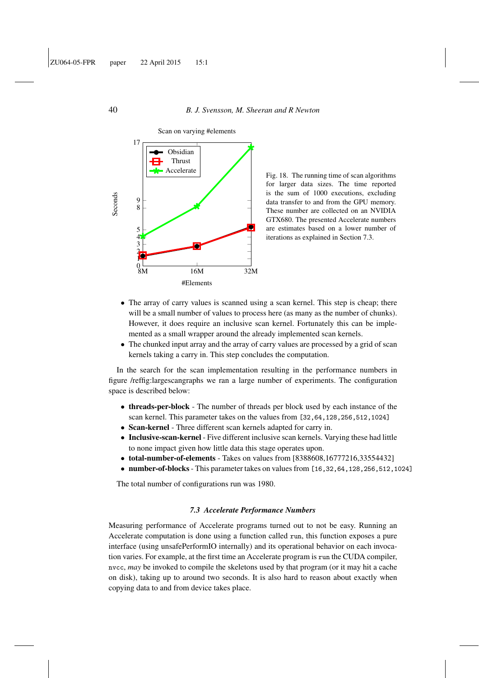

Fig. 18. The running time of scan algorithms for larger data sizes. The time reported is the sum of 1000 executions, excluding data transfer to and from the GPU memory. These number are collected on an NVIDIA GTX680. The presented Accelerate numbers are estimates based on a lower number of iterations as explained in Section 7.3.

- The array of carry values is scanned using a scan kernel. This step is cheap; there will be a small number of values to process here (as many as the number of chunks). However, it does require an inclusive scan kernel. Fortunately this can be implemented as a small wrapper around the already implemented scan kernels.
- The chunked input array and the array of carry values are processed by a grid of scan kernels taking a carry in. This step concludes the computation.

In the search for the scan implementation resulting in the performance numbers in figure /reffig:largescangraphs we ran a large number of experiments. The configuration space is described below:

- threads-per-block The number of threads per block used by each instance of the scan kernel. This parameter takes on the values from [32,64,128,256,512,1024]
- Scan-kernel Three different scan kernels adapted for carry in.
- Inclusive-scan-kernel Five different inclusive scan kernels. Varying these had little to none impact given how little data this stage operates upon.
- total-number-of-elements Takes on values from [8388608,16777216,33554432]
- number-of-blocks- This parameter takes on values from [16,32,64,128,256,512,1024]

The total number of configurations run was 1980.

## *7.3 Accelerate Performance Numbers*

Measuring performance of Accelerate programs turned out to not be easy. Running an Accelerate computation is done using a function called run, this function exposes a pure interface (using unsafePerformIO internally) and its operational behavior on each invocation varies. For example, at the first time an Accelerate program is run the CUDA compiler, nvcc, *may* be invoked to compile the skeletons used by that program (or it may hit a cache on disk), taking up to around two seconds. It is also hard to reason about exactly when copying data to and from device takes place.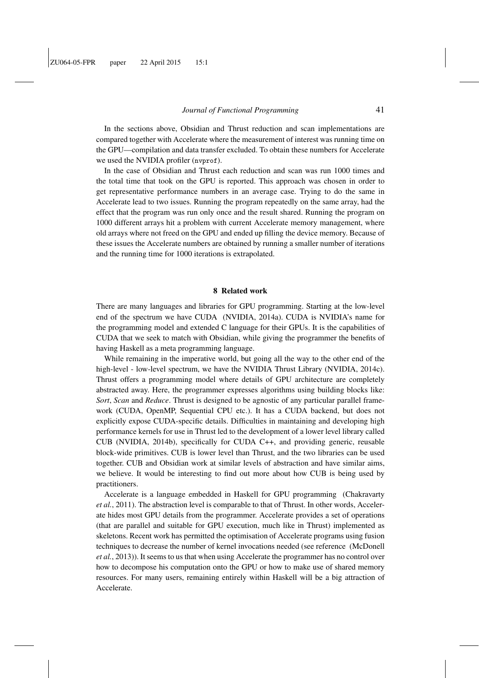In the sections above, Obsidian and Thrust reduction and scan implementations are compared together with Accelerate where the measurement of interest was running time on the GPU—compilation and data transfer excluded. To obtain these numbers for Accelerate we used the NVIDIA profiler (nvprof).

In the case of Obsidian and Thrust each reduction and scan was run 1000 times and the total time that took on the GPU is reported. This approach was chosen in order to get representative performance numbers in an average case. Trying to do the same in Accelerate lead to two issues. Running the program repeatedly on the same array, had the effect that the program was run only once and the result shared. Running the program on 1000 different arrays hit a problem with current Accelerate memory management, where old arrays where not freed on the GPU and ended up filling the device memory. Because of these issues the Accelerate numbers are obtained by running a smaller number of iterations and the running time for 1000 iterations is extrapolated.

## 8 Related work

There are many languages and libraries for GPU programming. Starting at the low-level end of the spectrum we have CUDA (NVIDIA, 2014a). CUDA is NVIDIA's name for the programming model and extended C language for their GPUs. It is the capabilities of CUDA that we seek to match with Obsidian, while giving the programmer the benefits of having Haskell as a meta programming language.

While remaining in the imperative world, but going all the way to the other end of the high-level - low-level spectrum, we have the NVIDIA Thrust Library (NVIDIA, 2014c). Thrust offers a programming model where details of GPU architecture are completely abstracted away. Here, the programmer expresses algorithms using building blocks like: *Sort*, *Scan* and *Reduce*. Thrust is designed to be agnostic of any particular parallel framework (CUDA, OpenMP, Sequential CPU etc.). It has a CUDA backend, but does not explicitly expose CUDA-specific details. Difficulties in maintaining and developing high performance kernels for use in Thrust led to the development of a lower level library called CUB (NVIDIA, 2014b), specifically for CUDA C++, and providing generic, reusable block-wide primitives. CUB is lower level than Thrust, and the two libraries can be used together. CUB and Obsidian work at similar levels of abstraction and have similar aims, we believe. It would be interesting to find out more about how CUB is being used by practitioners.

Accelerate is a language embedded in Haskell for GPU programming (Chakravarty *et al.*, 2011). The abstraction level is comparable to that of Thrust. In other words, Accelerate hides most GPU details from the programmer. Accelerate provides a set of operations (that are parallel and suitable for GPU execution, much like in Thrust) implemented as skeletons. Recent work has permitted the optimisation of Accelerate programs using fusion techniques to decrease the number of kernel invocations needed (see reference (McDonell *et al.*, 2013)). It seems to us that when using Accelerate the programmer has no control over how to decompose his computation onto the GPU or how to make use of shared memory resources. For many users, remaining entirely within Haskell will be a big attraction of Accelerate.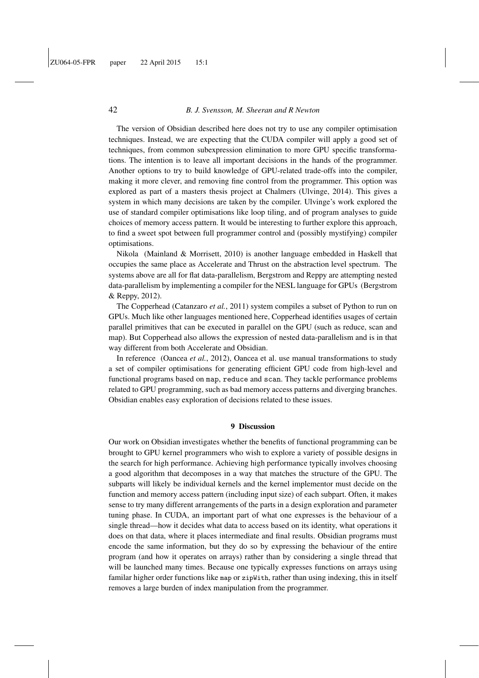The version of Obsidian described here does not try to use any compiler optimisation techniques. Instead, we are expecting that the CUDA compiler will apply a good set of techniques, from common subexpression elimination to more GPU specific transformations. The intention is to leave all important decisions in the hands of the programmer. Another options to try to build knowledge of GPU-related trade-offs into the compiler, making it more clever, and removing fine control from the programmer. This option was explored as part of a masters thesis project at Chalmers (Ulvinge, 2014). This gives a system in which many decisions are taken by the compiler. Ulvinge's work explored the use of standard compiler optimisations like loop tiling, and of program analyses to guide choices of memory access pattern. It would be interesting to further explore this approach, to find a sweet spot between full programmer control and (possibly mystifying) compiler optimisations.

Nikola (Mainland & Morrisett, 2010) is another language embedded in Haskell that occupies the same place as Accelerate and Thrust on the abstraction level spectrum. The systems above are all for flat data-parallelism, Bergstrom and Reppy are attempting nested data-parallelism by implementing a compiler for the NESL language for GPUs (Bergstrom & Reppy, 2012).

The Copperhead (Catanzaro *et al.*, 2011) system compiles a subset of Python to run on GPUs. Much like other languages mentioned here, Copperhead identifies usages of certain parallel primitives that can be executed in parallel on the GPU (such as reduce, scan and map). But Copperhead also allows the expression of nested data-parallelism and is in that way different from both Accelerate and Obsidian.

In reference (Oancea *et al.*, 2012), Oancea et al. use manual transformations to study a set of compiler optimisations for generating efficient GPU code from high-level and functional programs based on map, reduce and scan. They tackle performance problems related to GPU programming, such as bad memory access patterns and diverging branches. Obsidian enables easy exploration of decisions related to these issues.

#### 9 Discussion

Our work on Obsidian investigates whether the benefits of functional programming can be brought to GPU kernel programmers who wish to explore a variety of possible designs in the search for high performance. Achieving high performance typically involves choosing a good algorithm that decomposes in a way that matches the structure of the GPU. The subparts will likely be individual kernels and the kernel implementor must decide on the function and memory access pattern (including input size) of each subpart. Often, it makes sense to try many different arrangements of the parts in a design exploration and parameter tuning phase. In CUDA, an important part of what one expresses is the behaviour of a single thread—how it decides what data to access based on its identity, what operations it does on that data, where it places intermediate and final results. Obsidian programs must encode the same information, but they do so by expressing the behaviour of the entire program (and how it operates on arrays) rather than by considering a single thread that will be launched many times. Because one typically expresses functions on arrays using familar higher order functions like map or zipWith, rather than using indexing, this in itself removes a large burden of index manipulation from the programmer.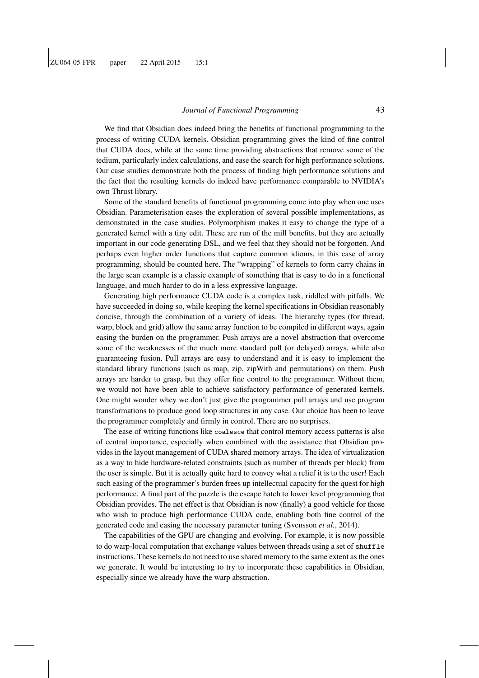We find that Obsidian does indeed bring the benefits of functional programming to the process of writing CUDA kernels. Obsidian programming gives the kind of fine control that CUDA does, while at the same time providing abstractions that remove some of the tedium, particularly index calculations, and ease the search for high performance solutions. Our case studies demonstrate both the process of finding high performance solutions and the fact that the resulting kernels do indeed have performance comparable to NVIDIA's own Thrust library.

Some of the standard benefits of functional programming come into play when one uses Obsidian. Parameterisation eases the exploration of several possible implementations, as demonstrated in the case studies. Polymorphism makes it easy to change the type of a generated kernel with a tiny edit. These are run of the mill benefits, but they are actually important in our code generating DSL, and we feel that they should not be forgotten. And perhaps even higher order functions that capture common idioms, in this case of array programming, should be counted here. The "wrapping" of kernels to form carry chains in the large scan example is a classic example of something that is easy to do in a functional language, and much harder to do in a less expressive language.

Generating high performance CUDA code is a complex task, riddled with pitfalls. We have succeeded in doing so, while keeping the kernel specifications in Obsidian reasonably concise, through the combination of a variety of ideas. The hierarchy types (for thread, warp, block and grid) allow the same array function to be compiled in different ways, again easing the burden on the programmer. Push arrays are a novel abstraction that overcome some of the weaknesses of the much more standard pull (or delayed) arrays, while also guaranteeing fusion. Pull arrays are easy to understand and it is easy to implement the standard library functions (such as map, zip, zipWith and permutations) on them. Push arrays are harder to grasp, but they offer fine control to the programmer. Without them, we would not have been able to achieve satisfactory performance of generated kernels. One might wonder whey we don't just give the programmer pull arrays and use program transformations to produce good loop structures in any case. Our choice has been to leave the programmer completely and firmly in control. There are no surprises.

The ease of writing functions like coalesce that control memory access patterns is also of central importance, especially when combined with the assistance that Obsidian provides in the layout management of CUDA shared memory arrays. The idea of virtualization as a way to hide hardware-related constraints (such as number of threads per block) from the user is simple. But it is actually quite hard to convey what a relief it is to the user! Each such easing of the programmer's burden frees up intellectual capacity for the quest for high performance. A final part of the puzzle is the escape hatch to lower level programming that Obsidian provides. The net effect is that Obsidian is now (finally) a good vehicle for those who wish to produce high performance CUDA code, enabling both fine control of the generated code and easing the necessary parameter tuning (Svensson *et al.*, 2014).

The capabilities of the GPU are changing and evolving. For example, it is now possible to do warp-local computation that exchange values between threads using a set of shuffle instructions. These kernels do not need to use shared memory to the same extent as the ones we generate. It would be interesting to try to incorporate these capabilities in Obsidian, especially since we already have the warp abstraction.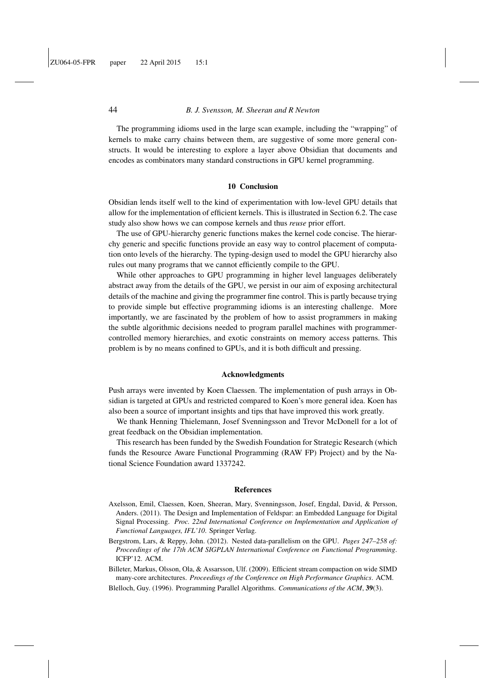The programming idioms used in the large scan example, including the "wrapping" of kernels to make carry chains between them, are suggestive of some more general constructs. It would be interesting to explore a layer above Obsidian that documents and encodes as combinators many standard constructions in GPU kernel programming.

#### 10 Conclusion

Obsidian lends itself well to the kind of experimentation with low-level GPU details that allow for the implementation of efficient kernels. This is illustrated in Section 6.2. The case study also show hows we can compose kernels and thus *reuse* prior effort.

The use of GPU-hierarchy generic functions makes the kernel code concise. The hierarchy generic and specific functions provide an easy way to control placement of computation onto levels of the hierarchy. The typing-design used to model the GPU hierarchy also rules out many programs that we cannot efficiently compile to the GPU.

While other approaches to GPU programming in higher level languages deliberately abstract away from the details of the GPU, we persist in our aim of exposing architectural details of the machine and giving the programmer fine control. This is partly because trying to provide simple but effective programming idioms is an interesting challenge. More importantly, we are fascinated by the problem of how to assist programmers in making the subtle algorithmic decisions needed to program parallel machines with programmercontrolled memory hierarchies, and exotic constraints on memory access patterns. This problem is by no means confined to GPUs, and it is both difficult and pressing.

#### Acknowledgments

Push arrays were invented by Koen Claessen. The implementation of push arrays in Obsidian is targeted at GPUs and restricted compared to Koen's more general idea. Koen has also been a source of important insights and tips that have improved this work greatly.

We thank Henning Thielemann, Josef Svenningsson and Trevor McDonell for a lot of great feedback on the Obsidian implementation.

This research has been funded by the Swedish Foundation for Strategic Research (which funds the Resource Aware Functional Programming (RAW FP) Project) and by the National Science Foundation award 1337242.

#### References

- Axelsson, Emil, Claessen, Koen, Sheeran, Mary, Svenningsson, Josef, Engdal, David, & Persson, Anders. (2011). The Design and Implementation of Feldspar: an Embedded Language for Digital Signal Processing. *Proc. 22nd International Conference on Implementation and Application of Functional Languages, IFL'10*. Springer Verlag.
- Bergstrom, Lars, & Reppy, John. (2012). Nested data-parallelism on the GPU. *Pages 247–258 of: Proceedings of the 17th ACM SIGPLAN International Conference on Functional Programming*. ICFP'12. ACM.
- Billeter, Markus, Olsson, Ola, & Assarsson, Ulf. (2009). Efficient stream compaction on wide SIMD many-core architectures. *Proceedings of the Conference on High Performance Graphics*. ACM.
- Blelloch, Guy. (1996). Programming Parallel Algorithms. *Communications of the ACM*, 39(3).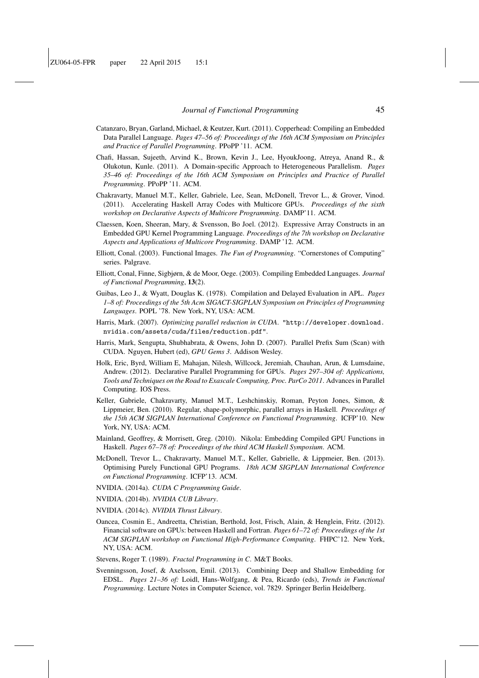- Catanzaro, Bryan, Garland, Michael, & Keutzer, Kurt. (2011). Copperhead: Compiling an Embedded Data Parallel Language. *Pages 47–56 of: Proceedings of the 16th ACM Symposium on Principles and Practice of Parallel Programming*. PPoPP '11. ACM.
- Chafi, Hassan, Sujeeth, Arvind K., Brown, Kevin J., Lee, HyoukJoong, Atreya, Anand R., & Olukotun, Kunle. (2011). A Domain-specific Approach to Heterogeneous Parallelism. *Pages 35–46 of: Proceedings of the 16th ACM Symposium on Principles and Practice of Parallel Programming*. PPoPP '11. ACM.
- Chakravarty, Manuel M.T., Keller, Gabriele, Lee, Sean, McDonell, Trevor L., & Grover, Vinod. (2011). Accelerating Haskell Array Codes with Multicore GPUs. *Proceedings of the sixth workshop on Declarative Aspects of Multicore Programming*. DAMP'11. ACM.
- Claessen, Koen, Sheeran, Mary, & Svensson, Bo Joel. (2012). Expressive Array Constructs in an Embedded GPU Kernel Programming Language. *Proceedings of the 7th workshop on Declarative Aspects and Applications of Multicore Programming*. DAMP '12. ACM.
- Elliott, Conal. (2003). Functional Images. *The Fun of Programming*. "Cornerstones of Computing" series. Palgrave.
- Elliott, Conal, Finne, Sigbjørn, & de Moor, Oege. (2003). Compiling Embedded Languages. *Journal of Functional Programming*, 13(2).
- Guibas, Leo J., & Wyatt, Douglas K. (1978). Compilation and Delayed Evaluation in APL. *Pages 1–8 of: Proceedings of the 5th Acm SIGACT-SIGPLAN Symposium on Principles of Programming Languages*. POPL '78. New York, NY, USA: ACM.
- Harris, Mark. (2007). *Optimizing parallel reduction in CUDA*. "http://developer.download. nvidia.com/assets/cuda/files/reduction.pdf".
- Harris, Mark, Sengupta, Shubhabrata, & Owens, John D. (2007). Parallel Prefix Sum (Scan) with CUDA. Nguyen, Hubert (ed), *GPU Gems 3*. Addison Wesley.
- Holk, Eric, Byrd, William E, Mahajan, Nilesh, Willcock, Jeremiah, Chauhan, Arun, & Lumsdaine, Andrew. (2012). Declarative Parallel Programming for GPUs. *Pages 297–304 of: Applications, Tools and Techniques on the Road to Exascale Computing, Proc. ParCo 2011*. Advances in Parallel Computing. IOS Press.
- Keller, Gabriele, Chakravarty, Manuel M.T., Leshchinskiy, Roman, Peyton Jones, Simon, & Lippmeier, Ben. (2010). Regular, shape-polymorphic, parallel arrays in Haskell. *Proceedings of the 15th ACM SIGPLAN International Conference on Functional Programming*. ICFP'10. New York, NY, USA: ACM.
- Mainland, Geoffrey, & Morrisett, Greg. (2010). Nikola: Embedding Compiled GPU Functions in Haskell. *Pages 67–78 of: Proceedings of the third ACM Haskell Symposium*. ACM.
- McDonell, Trevor L., Chakravarty, Manuel M.T., Keller, Gabrielle, & Lippmeier, Ben. (2013). Optimising Purely Functional GPU Programs. *18th ACM SIGPLAN International Conference on Functional Programming*. ICFP'13. ACM.
- NVIDIA. (2014a). *CUDA C Programming Guide*.
- NVIDIA. (2014b). *NVIDIA CUB Library*.
- NVIDIA. (2014c). *NVIDIA Thrust Library*.
- Oancea, Cosmin E., Andreetta, Christian, Berthold, Jost, Frisch, Alain, & Henglein, Fritz. (2012). Financial software on GPUs: between Haskell and Fortran. *Pages 61–72 of: Proceedings of the 1st ACM SIGPLAN workshop on Functional High-Performance Computing*. FHPC'12. New York, NY, USA: ACM.
- Stevens, Roger T. (1989). *Fractal Programming in C*. M&T Books.
- Svenningsson, Josef, & Axelsson, Emil. (2013). Combining Deep and Shallow Embedding for EDSL. *Pages 21–36 of:* Loidl, Hans-Wolfgang, & Pea, Ricardo (eds), *Trends in Functional Programming*. Lecture Notes in Computer Science, vol. 7829. Springer Berlin Heidelberg.